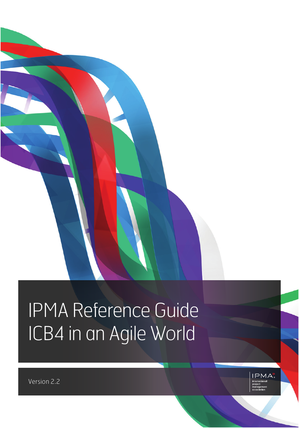# IPMA Reference Guide ICB4 in an Agile World



Version 2.2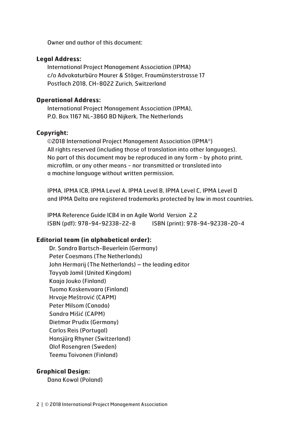Owner and author of this document:

#### **Legal Address:**

International Project Management Association (IPMA) c/o Advokaturbüro Maurer & Stäger, Fraumünsterstrasse 17 Postfach 2018, CH-8022 Zurich, Switzerland

#### **Operational Address:**

International Project Management Association (IPMA), P.O. Box 1167 NL-3860 BD Nijkerk, The Netherlands

### **Copyright:**

©2018 International Project Management Association (IPMA®) All rights reserved (including those of translation into other languages). No part of this document may be reproduced in any form - by photo print, microfilm, or any other means - nor transmitted or translated into a machine language without written permission.

IPMA, IPMA ICB, IPMA Level A, IPMA Level B, IPMA Level C, IPMA Level D and IPMA Delta are registered trademarks protected by law in most countries.

IPMA Reference Guide ICB4 in an Agile World Version 2.2 ISBN (pdf): 978-94-92338-22-8 ISBN (print): 978-94-92338-20-4

### **Editorial team (in alphabetical order):**

Dr. Sandra Bartsch-Beuerlein (Germany) Peter Coesmans (The Netherlands) John Hermarij (The Netherlands) – the leading editor Tayyab Jamil (United Kingdom) Kaaja Jouko (Finland) Tuomo Koskenvaara (Finland) Hrvoje Meštrović (CAPM) Peter Milsom (Canada) Sandra Mišić (CAPM) Dietmar Prudix (Germany) Carlos Reis (Portugal) Hansjürg Rhyner (Switzerland) Olof Rosengren (Sweden) Teemu Toivonen (Finland)

### **Graphical Design:**

Dana Kowal (Poland)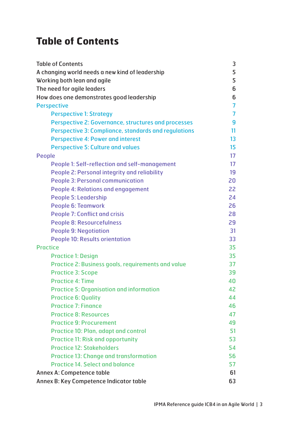# **Table of Contents**

| <b>Table of Contents</b>                                    | 3               |
|-------------------------------------------------------------|-----------------|
| A changing world needs a new kind of leadership             | 5               |
| Working both lean and agile                                 | 5               |
| The need for agile leaders                                  | 6               |
| How does one demonstrates good leadership                   | 6               |
| <b>Perspective</b>                                          | 7               |
| <b>Perspective 1: Strategy</b>                              | 7               |
| Perspective 2: Governance, structures and processes         | 9               |
| <b>Perspective 3: Compliance, standards and regulations</b> | 11              |
| <b>Perspective 4: Power and interest</b>                    | 13 <sup>°</sup> |
| <b>Perspective 5: Culture and values</b>                    | 15              |
| People                                                      | 17              |
| People 1: Self-reflection and self-management               | 17              |
| People 2: Personal integrity and reliability                | 19              |
| <b>People 3: Personal communication</b>                     | 20              |
| <b>People 4: Relations and engagement</b>                   | 22              |
| <b>People 5: Leadership</b>                                 | 24              |
| <b>People 6: Teamwork</b>                                   | 26              |
| <b>People 7: Conflict and crisis</b>                        | 28              |
| <b>People 8: Resourcefulness</b>                            | 29              |
| <b>People 9: Negotiation</b>                                | 31              |
| <b>People 10: Results orientation</b>                       | 33              |
| <b>Practice</b>                                             | 35              |
| <b>Practice 1: Design</b>                                   | 35              |
| Practice 2: Business goals, requirements and value          | 37              |
| <b>Practice 3: Scope</b>                                    | 39              |
| <b>Practice 4: Time</b>                                     | 40              |
| <b>Practice 5: Organisation and information</b>             | 42              |
| <b>Practice 6: Quality</b>                                  | 44              |
| <b>Practice 7: Finance</b>                                  | 46              |
| <b>Practice 8: Resources</b>                                | 47              |
| <b>Practice 9: Procurement</b>                              | 49              |
| <b>Practice 10: Plan, adapt and control</b>                 | 51              |
| <b>Practice 11: Risk and opportunity</b>                    | 53              |
| <b>Practice 12: Stakeholders</b>                            | 54              |
| <b>Practice 13: Change and transformation</b>               | 56              |
| <b>Practice 14. Select and balance</b>                      | 57              |
| Annex A: Competence table                                   | 61              |
| Annex B: Key Competence Indicator table                     | 63              |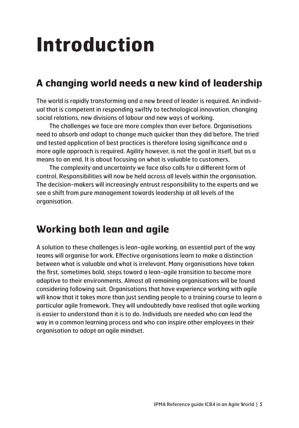# **Introduction**

# **A changing world needs a new kind of leadership**

The world is rapidly transforming and a new breed of leader is required. An individual that is competent in responding swiftly to technological innovation, changing social relations, new divisions of labour and new ways of working.

The challenges we face are more complex than ever before. Organisations need to absorb and adapt to change much quicker than they did before. The tried and tested application of best practices is therefore losing significance and a more agile approach is required. Agility however, is not the goal in itself, but as a means to an end. It is about focusing on what is valuable to customers.

The complexity and uncertainty we face also calls for a different form of control. Responsibilities will now be held across all levels within the organisation. The decision-makers will increasingly entrust responsibility to the experts and we see a shift from pure management towards leadership at all levels of the organisation.

# **Working both lean and agile**

A solution to these challenges is lean-agile working, an essential part of the way teams will organise for work. Effective organisations learn to make a distinction between what is valuable and what is irrelevant. Many organisations have taken the first, sometimes bold, steps toward a lean-agile transition to become more adaptive to their environments. Almost all remaining organisations will be found considering following suit. Organisations that have experience working with agile will know that it takes more than just sending people to a training course to learn a particular agile framework. They will undoubtedly have realised that agile working is easier to understand than it is to do. Individuals are needed who can lead the way in a common learning process and who can inspire other employees in their organisation to adopt an agile mindset.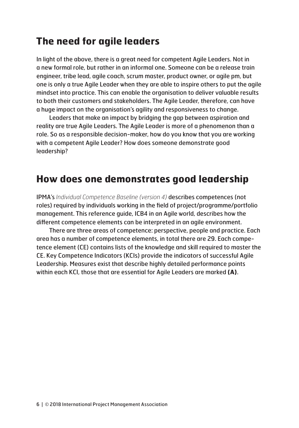# **The need for agile leaders**

In light of the above, there is a great need for competent Agile Leaders. Not in a new formal role, but rather in an informal one. Someone can be a release train engineer, tribe lead, agile coach, scrum master, product owner, or agile pm, but one is only a true Agile Leader when they are able to inspire others to put the agile mindset into practice. This can enable the organisation to deliver valuable results to both their customers and stakeholders. The Agile Leader, therefore, can have a huge impact on the organisation's agility and responsiveness to change.

Leaders that make an impact by bridging the gap between aspiration and reality are true Agile Leaders. The Agile Leader is more of a phenomenon than a role. So as a responsible decision-maker, how do you know that you are working with a competent Agile Leader? How does someone demonstrate good leadership?

# **How does one demonstrates good leadership**

IPMA's *Individual Competence Baseline (version 4)* describes competences (not roles) required by individuals working in the field of project/programme/portfolio management. This reference guide, ICB4 in an Agile world, describes how the different competence elements can be interpreted in an agile environment.

There are three areas of competence: perspective, people and practice. Each area has a number of competence elements, in total there are 29. Each competence element (CE) contains lists of the knowledge and skill required to master the CE. Key Competence Indicators (KCIs) provide the indicators of successful Agile Leadership. Measures exist that describe highly detailed performance points within each KCI, those that are essential for Agile Leaders are marked **(A)**.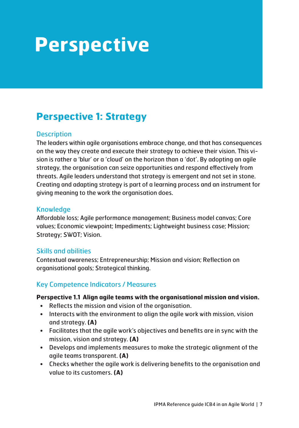# **Perspective**

# **Perspective 1: Strategy**

### **Description**

The leaders within agile organisations embrace change, and that has consequences on the way they create and execute their strategy to achieve their vision. This vision is rather a 'blur' or a 'cloud' on the horizon than a 'dot'. By adopting an agile strategy, the organisation can seize opportunities and respond effectively from threats. Agile leaders understand that strategy is emergent and not set in stone. Creating and adapting strategy is part of a learning process and an instrument for giving meaning to the work the organisation does.

### **Knowledge**

Affordable loss; Agile performance management; Business model canvas; Core values; Economic viewpoint; Impediments; Lightweight business case; Mission; Strategy; SWOT; Vision.

### Skills and abilities

Contextual awareness; Entrepreneurship; Mission and vision; Reflection on organisational goals; Strategical thinking.

## Key Competence Indicators / Measures

### **Perspective 1.1 Align agile teams with the organisational mission and vision.**

- Reflects the mission and vision of the organisation.
- Interacts with the environment to align the agile work with mission, vision and strategy. **(A)**
- Facilitates that the agile work's objectives and benefits are in sync with the mission, vision and strategy. **(A)**
- Develops and implements measures to make the strategic alignment of the agile teams transparent. **(A)**
- Checks whether the agile work is delivering benefits to the organisation and value to its customers. **(A)**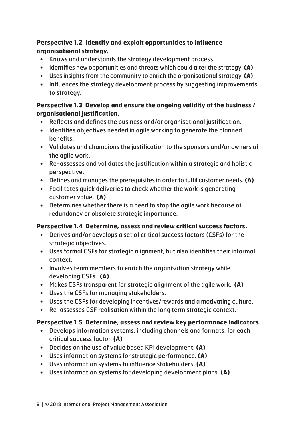### **Perspective 1.2 Identify and exploit opportunities to influence organisational strategy.**

- Knows and understands the strategy development process.
- Identifies new opportunities and threats which could alter the strategy. **(A)**
- Uses insights from the community to enrich the organisational strategy. **(A)**
- Influences the strategy development process by suggesting improvements to strategy.

### **Perspective 1.3 Develop and ensure the ongoing validity of the business / organisational justification.**

- Reflects and defines the business and/or organisational justification.
- Identifies objectives needed in agile working to generate the planned benefits.
- Validates and champions the justification to the sponsors and/or owners of the agile work.
- Re-assesses and validates the justification within a strategic and holistic perspective.
- Defines and manages the prerequisites in order to fulfil customer needs. **(A)**
- Facilitates quick deliveries to check whether the work is generating customer value. **(A)**
- Determines whether there is a need to stop the agile work because of redundancy or obsolete strategic importance.

## **Perspective 1.4 Determine, assess and review critical success factors.**

- Derives and/or develops a set of critical success factors (CSFs) for the strategic objectives.
- Uses formal CSFs for strategic alignment, but also identifies their informal context.
- Involves team members to enrich the organisation strategy while developing CSFs. **(A)**
- Makes CSFs transparent for strategic alignment of the agile work. **(A)**
- Uses the CSFs for managing stakeholders.
- Uses the CSFs for developing incentives/rewards and a motivating culture.
- Re-assesses CSF realisation within the long term strategic context.

### **Perspective 1.5 Determine, assess and review key performance indicators.**

- Develops information systems, including channels and formats, for each critical success factor. **(A)**
- Decides on the use of value based KPI development. **(A)**
- Uses information systems for strategic performance. **(A)**
- Uses information systems to influence stakeholders. **(A)**
- Uses information systems for developing development plans. **(A)**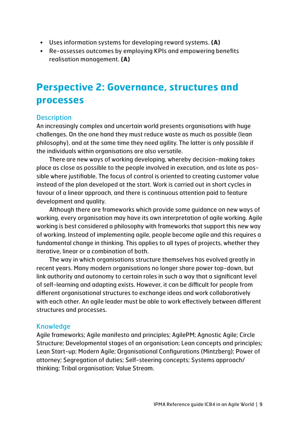- Uses information systems for developing reward systems. **(A)**
- Re-assesses outcomes by employing KPIs and empowering benefits realisation management. **(A)**

# **Perspective 2: Governance, structures and processes**

### **Description**

An increasingly complex and uncertain world presents organisations with huge challenges. On the one hand they must reduce waste as much as possible (lean philosophy), and at the same time they need agility. The latter is only possible if the individuals within organisations are also versatile.

There are new ways of working developing, whereby decision-making takes place as close as possible to the people involved in execution, and as late as possible where justifiable. The focus of control is oriented to creating customer value instead of the plan developed at the start. Work is carried out in short cycles in favour of a linear approach, and there is continuous attention paid to feature development and quality.

Although there are frameworks which provide some guidance on new ways of working, every organisation may have its own interpretation of agile working. Agile working is best considered a philosophy with frameworks that support this new way of working. Instead of implementing agile, people become agile and this requires a fundamental change in thinking. This applies to all types of projects, whether they iterative, linear or a combination of both.

The way in which organisations structure themselves has evolved greatly in recent years. Many modern organisations no longer share power top-down, but link authority and autonomy to certain roles in such a way that a significant level of self-learning and adapting exists. However, it can be difficult for people from different organisational structures to exchange ideas and work collaboratively with each other. An agile leader must be able to work effectively between different structures and processes.

### **Knowledge**

Agile frameworks; Agile manifesto and principles; AgilePM; Agnostic Agile; Circle Structure; Developmental stages of an organisation; Lean concepts and principles; Lean Start-up; Modern Agile; Organisational Configurations (Mintzberg); Power of attorney; Segregation of duties; Self-steering concepts; Systems approach/ thinking; Tribal organisation; Value Stream.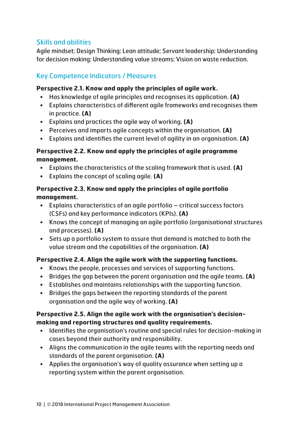# Skills and abilities

Agile mindset; Design Thinking; Lean attitude; Servant leadership; Understanding for decision making; Understanding value streams; Vision on waste reduction.

# Key Competence Indicators / Measures

### **Perspective 2.1. Know and apply the principles of agile work.**

- Has knowledge of agile principles and recognises its application. **(A)**
- Explains characteristics of different agile frameworks and recognises them in practice. **(A)**
- Explains and practices the agile way of working. **(A)**
- Perceives and imparts agile concepts within the organisation. **(A)**
- Explains and identifies the current level of agility in an organisation. **(A)**

### **Perspective 2.2. Know and apply the principles of agile programme management.**

- Explains the characteristics of the scaling framework that is used. **(A)**
- Explains the concept of scaling agile. **(A)**

### **Perspective 2.3. Know and apply the principles of agile portfolio management.**

- Explains characteristics of an agile portfolio critical success factors (CSFs) and key performance indicators (KPIs). **(A)**
- Knows the concept of managing an agile portfolio (organisational structures and processes). **(A)**
- Sets up a portfolio system to assure that demand is matched to both the value stream and the capabilities of the organisation. **(A)**

### **Perspective 2.4. Align the agile work with the supporting functions.**

- Knows the people, processes and services of supporting functions.
- Bridges the gap between the parent organisation and the agile teams. **(A)**
- Establishes and maintains relationships with the supporting function.
- Bridges the gaps between the reporting standards of the parent organisation and the agile way of working. **(A)**

### **Perspective 2.5. Align the agile work with the organisation's decisionmaking and reporting structures and quality requirements.**

- Identifies the organisation's routine and special rules for decision-making in cases beyond their authority and responsibility.
- Aligns the communication in the agile teams with the reporting needs and standards of the parent organisation. **(A)**
- Applies the organisation's way of quality assurance when setting up a reporting system within the parent organisation.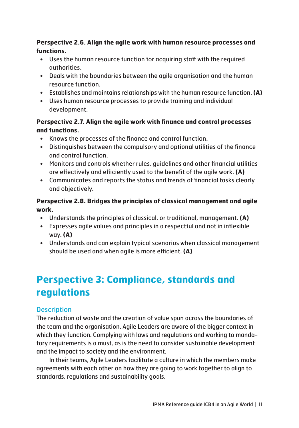### **Perspective 2.6. Align the agile work with human resource processes and functions.**

- Uses the human resource function for acquiring staff with the required authorities.
- Deals with the boundaries between the agile organisation and the human resource function.
- Establishes and maintains relationships with the human resource function. **(A)**
- Uses human resource processes to provide training and individual development.

### **Perspective 2.7. Align the agile work with finance and control processes and functions.**

- Knows the processes of the finance and control function.
- Distinguishes between the compulsory and optional utilities of the finance and control function.
- Monitors and controls whether rules, guidelines and other financial utilities are effectively and efficiently used to the benefit of the agile work. **(A)**
- Communicates and reports the status and trends of financial tasks clearly and objectively.

# **Perspective 2.8. Bridges the principles of classical management and agile work.**

- Understands the principles of classical, or traditional, management. **(A)**
- Expresses agile values and principles in a respectful and not in inflexible way. **(A)**
- Understands and can explain typical scenarios when classical management should be used and when agile is more efficient. **(A)**

# **Perspective 3: Compliance, standards and regulations**

# **Description**

The reduction of waste and the creation of value span across the boundaries of the team and the organisation. Agile Leaders are aware of the bigger context in which they function. Complying with laws and regulations and working to mandatory requirements is a must, as is the need to consider sustainable development and the impact to society and the environment.

In their teams, Agile Leaders facilitate a culture in which the members make agreements with each other on how they are going to work together to align to standards, regulations and sustainability goals.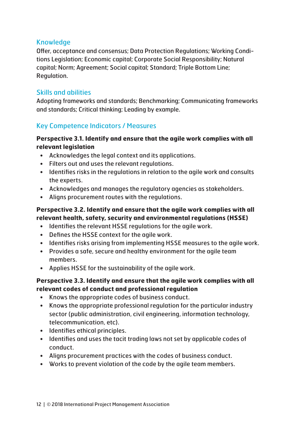### Knowledge

Offer, acceptance and consensus; Data Protection Regulations; Working Conditions Legislation; Economic capital; Corporate Social Responsibility; Natural capital; Norm; Agreement; Social capital; Standard; Triple Bottom Line; Regulation.

# Skills and abilities

Adopting frameworks and standards; Benchmarking; Communicating frameworks and standards; Critical thinking; Leading by example.

# Key Competence Indicators / Measures

### **Perspective 3.1. Identify and ensure that the agile work complies with all relevant legislation**

- Acknowledges the legal context and its applications.
- Filters out and uses the relevant regulations.
- Identifies risks in the regulations in relation to the agile work and consults the experts.
- Acknowledges and manages the regulatory agencies as stakeholders.
- Aligns procurement routes with the regulations.

### **Perspective 3.2. Identify and ensure that the agile work complies with all relevant health, safety, security and environmental regulations (HSSE)**

- Identifies the relevant HSSE regulations for the agile work.
- Defines the HSSE context for the agile work.
- Identifies risks arising from implementing HSSE measures to the agile work.
- Provides a safe, secure and healthy environment for the agile team members.
- Applies HSSE for the sustainability of the agile work.

### **Perspective 3.3. Identify and ensure that the agile work complies with all relevant codes of conduct and professional regulation**

- Knows the appropriate codes of business conduct.
- Knows the appropriate professional regulation for the particular industry sector (public administration, civil engineering, information technology, telecommunication, etc).
- Identifies ethical principles.
- Identifies and uses the tacit trading laws not set by applicable codes of conduct.
- Aligns procurement practices with the codes of business conduct.
- Works to prevent violation of the code by the agile team members.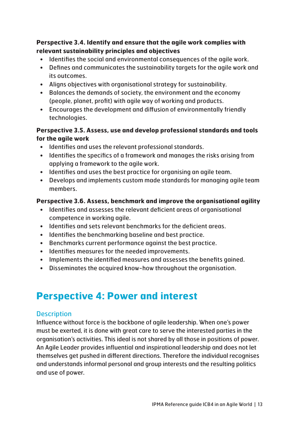### **Perspective 3.4. Identify and ensure that the agile work complies with relevant sustainability principles and objectives**

- Identifies the social and environmental consequences of the agile work.
- Defines and communicates the sustainability targets for the agile work and its outcomes.
- Aligns objectives with organisational strategy for sustainability.
- Balances the demands of society, the environment and the economy (people, planet, profit) with agile way of working and products.
- Encourages the development and diffusion of environmentally friendly technologies.

### **Perspective 3.5. Assess, use and develop professional standards and tools for the agile work**

- Identifies and uses the relevant professional standards.
- Identifies the specifics of a framework and manages the risks arising from applying a framework to the agile work.
- Identifies and uses the best practice for organising an agile team.
- Develops and implements custom made standards for managing agile team members.

## **Perspective 3.6. Assess, benchmark and improve the organisational agility**

- Identifies and assesses the relevant deficient areas of organisational competence in working agile.
- Identifies and sets relevant benchmarks for the deficient areas.
- Identifies the benchmarking baseline and best practice.
- Benchmarks current performance against the best practice.
- Identifies measures for the needed improvements.
- Implements the identified measures and assesses the benefits gained.
- Disseminates the acquired know-how throughout the organisation.

# **Perspective 4: Power and interest**

## **Description**

Influence without force is the backbone of agile leadership. When one's power must be exerted, it is done with great care to serve the interested parties in the organisation's activities. This ideal is not shared by all those in positions of power. An Agile Leader provides influential and inspirational leadership and does not let themselves get pushed in different directions. Therefore the individual recognises and understands informal personal and group interests and the resulting politics and use of power.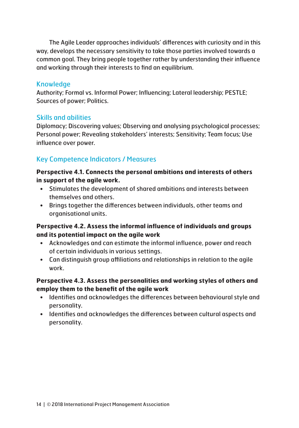The Agile Leader approaches individuals' differences with curiosity and in this way, develops the necessary sensitivity to take those parties involved towards a common goal. They bring people together rather by understanding their influence and working through their interests to find an equilibrium.

### Knowledge

Authority; Formal vs. Informal Power; Influencing; Lateral leadership; PESTLE; Sources of power; Politics.

### Skills and abilities

Diplomacy; Discovering values; Observing and analysing psychological processes; Personal power; Revealing stakeholders' interests; Sensitivity; Team focus; Use influence over power.

# Key Competence Indicators / Measures

### **Perspective 4.1. Connects the personal ambitions and interests of others in support of the agile work.**

- Stimulates the development of shared ambitions and interests between themselves and others.
- Brings together the differences between individuals, other teams and organisational units.

### **Perspective 4.2. Assess the informal influence of individuals and groups and its potential impact on the agile work**

- Acknowledges and can estimate the informal influence, power and reach of certain individuals in various settings.
- Can distinguish group affiliations and relationships in relation to the agile work.

### **Perspective 4.3. Assess the personalities and working styles of others and employ them to the benefit of the agile work**

- Identifies and acknowledges the differences between behavioural style and personality.
- Identifies and acknowledges the differences between cultural aspects and personality.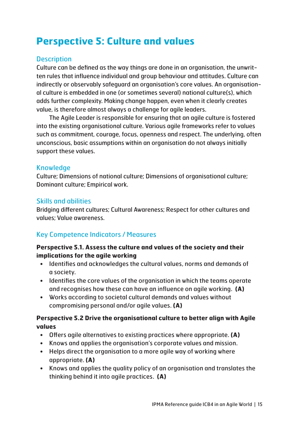# **Perspective 5: Culture and values**

# **Description**

Culture can be defined as the way things are done in an organisation, the unwritten rules that influence individual and group behaviour and attitudes. Culture can indirectly or observably safeguard an organisation's core values. An organisational culture is embedded in one (or sometimes several) national culture(s), which adds further complexity. Making change happen, even when it clearly creates value, is therefore almost always a challenge for agile leaders.

The Agile Leader is responsible for ensuring that an agile culture is fostered into the existing organisational culture. Various agile frameworks refer to values such as commitment, courage, focus, openness and respect. The underlying, often unconscious, basic assumptions within an organisation do not always initially support these values.

## Knowledge

Culture; Dimensions of national culture; Dimensions of organisational culture; Dominant culture; Empirical work.

## Skills and abilities

Bridging different cultures; Cultural Awareness; Respect for other cultures and values; Value awareness.

# Key Competence Indicators / Measures

### **Perspective 5.1. Assess the culture and values of the society and their implications for the agile working**

- Identifies and acknowledges the cultural values, norms and demands of a society.
- Identifies the core values of the organisation in which the teams operate and recognises how these can have an influence on agile working. **(A)**
- Works according to societal cultural demands and values without compromising personal and/or agile values. **(A)**

### **Perspective 5.2 Drive the organisational culture to better align with Agile values**

- Offers agile alternatives to existing practices where appropriate. **(A)**
- Knows and applies the organisation's corporate values and mission.
- Helps direct the organisation to a more agile way of working where appropriate. **(A)**
- Knows and applies the quality policy of an organisation and translates the thinking behind it into agile practices. **(A)**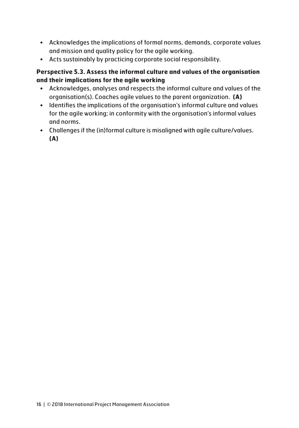- Acknowledges the implications of formal norms, demands, corporate values and mission and quality policy for the agile working.
- Acts sustainably by practicing corporate social responsibility.

### **Perspective 5.3. Assess the informal culture and values of the organisation and their implications for the agile working**

- Acknowledges, analyses and respects the informal culture and values of the organisation(s). Coaches agile values to the parent organization. **(A)**
- Identifies the implications of the organisation's informal culture and values for the agile working; in conformity with the organisation's informal values and norms.
- Challenges if the (in)formal culture is misaligned with agile culture/values. **(A)**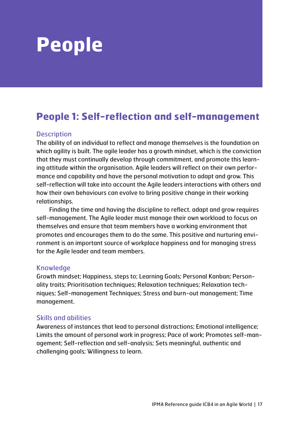# **People**

# **People 1: Self-reflection and self-management**

### **Description**

The ability of an individual to reflect and manage themselves is the foundation on which agility is built. The agile leader has a growth mindset, which is the conviction that they must continually develop through commitment, and promote this learning attitude within the organisation. Agile leaders will reflect on their own performance and capability and have the personal motivation to adapt and grow. This self-reflection will take into account the Agile leaders interactions with others and how their own behaviours can evolve to bring positive change in their working relationships.

Finding the time and having the discipline to reflect, adapt and grow requires self-management. The Agile leader must manage their own workload to focus on themselves and ensure that team members have a working environment that promotes and encourages them to do the same. This positive and nurturing environment is an important source of workplace happiness and for managing stress for the Agile leader and team members.

### Knowledge

Growth mindset; Happiness, steps to; Learning Goals; Personal Kanban; Personality traits; Prioritisation techniques; Relaxation techniques; Relaxation techniques; Self-management Techniques; Stress and burn-out management; Time management.

### Skills and abilities

Awareness of instances that lead to personal distractions; Emotional intelligence; Limits the amount of personal work in progress; Pace of work; Promotes self-management; Self-reflection and self-analysis; Sets meaningful, authentic and challenging goals; Willingness to learn.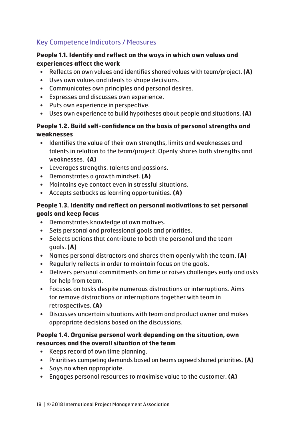# Key Competence Indicators / Measures

### **People 1.1. Identify and reflect on the ways in which own values and experiences affect the work**

- Reflects on own values and identifies shared values with team/project. **(A)**
- Uses own values and ideals to shape decisions.
- Communicates own principles and personal desires.
- Expresses and discusses own experience.
- Puts own experience in perspective.
- Uses own experience to build hypotheses about people and situations. **(A)**

### **People 1.2. Build self-confidence on the basis of personal strengths and weaknesses**

- Identifies the value of their own strengths, limits and weaknesses and talents in relation to the team/project. Openly shares both strengths and weaknesses. **(A)**
- Leverages strengths, talents and passions.
- Demonstrates a growth mindset. **(A)**
- Maintains eye contact even in stressful situations.
- Accepts setbacks as learning opportunities. **(A)**

### **People 1.3. Identify and reflect on personal motivations to set personal goals and keep focus**

- Demonstrates knowledge of own motives.
- Sets personal and professional goals and priorities.
- Selects actions that contribute to both the personal and the team goals. **(A)**
- Names personal distractors and shares them openly with the team. **(A)**
- Regularly reflects in order to maintain focus on the goals.
- Delivers personal commitments on time or raises challenges early and asks for help from team.
- Focuses on tasks despite numerous distractions or interruptions. Aims for remove distractions or interruptions together with team in retrospectives. **(A)**
- Discusses uncertain situations with team and product owner and makes appropriate decisions based on the discussions.

### **People 1.4. Organise personal work depending on the situation, own resources and the overall situation of the team**

- Keeps record of own time planning.
- Prioritises competing demands based on teams agreed shared priorities. **(A)**
- Says no when appropriate.
- Engages personal resources to maximise value to the customer. **(A)**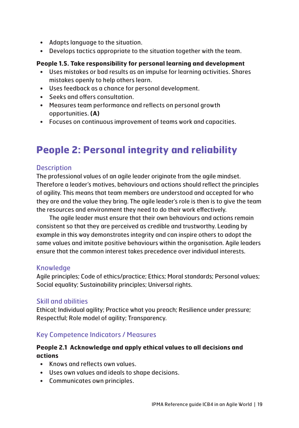- Adapts language to the situation.
- Develops tactics appropriate to the situation together with the team.

### **People 1.5. Take responsibility for personal learning and development**

- Uses mistakes or bad results as an impulse for learning activities. Shares mistakes openly to help others learn.
- Uses feedback as a chance for personal development.
- Seeks and offers consultation.
- Measures team performance and reflects on personal growth opportunities. **(A)**
- Focuses on continuous improvement of teams work and capacities.

# **People 2: Personal integrity and reliability**

### **Description**

The professional values of an agile leader originate from the agile mindset. Therefore a leader's motives, behaviours and actions should reflect the principles of agility. This means that team members are understood and accepted for who they are and the value they bring. The agile leader's role is then is to give the team the resources and environment they need to do their work effectively.

The agile leader must ensure that their own behaviours and actions remain consistent so that they are perceived as credible and trustworthy. Leading by example in this way demonstrates integrity and can inspire others to adopt the same values and imitate positive behaviours within the organisation. Agile leaders ensure that the common interest takes precedence over individual interests.

### Knowledge

Agile principles; Code of ethics/practice; Ethics; Moral standards; Personal values; Social equality; Sustainability principles; Universal rights.

### Skill and abilities

Ethical; Individual agility; Practice what you preach; Resilience under pressure; Respectful; Role model of agility; Transparency.

## Key Competence Indicators / Measures

## **People 2.1 Acknowledge and apply ethical values to all decisions and actions**

- Knows and reflects own values.
- Uses own values and ideals to shape decisions.
- Communicates own principles.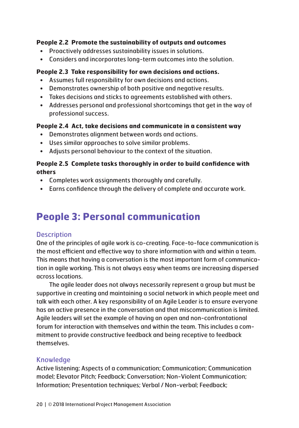### **People 2.2 Promote the sustainability of outputs and outcomes**

- Proactively addresses sustainability issues in solutions.
- Considers and incorporates long-term outcomes into the solution.

#### **People 2.3 Take responsibility for own decisions and actions.**

- Assumes full responsibility for own decisions and actions.
- Demonstrates ownership of both positive and negative results.
- Takes decisions and sticks to agreements established with others.
- Addresses personal and professional shortcomings that get in the way of professional success.

#### **People 2.4 Act, take decisions and communicate in a consistent way**

- Demonstrates alignment between words and actions.
- Uses similar approaches to solve similar problems.
- Adjusts personal behaviour to the context of the situation.

### **People 2.5 Complete tasks thoroughly in order to build confidence with others**

- Completes work assignments thoroughly and carefully.
- Earns confidence through the delivery of complete and accurate work.

# **People 3: Personal communication**

### **Description**

One of the principles of agile work is co-creating. Face-to-face communication is the most efficient and effective way to share information with and within a team. This means that having a conversation is the most important form of communication in agile working. This is not always easy when teams are increasing dispersed across locations.

The agile leader does not always necessarily represent a group but must be supportive in creating and maintaining a social network in which people meet and talk with each other. A key responsibility of an Agile Leader is to ensure everyone has an active presence in the conversation and that miscommunication is limited. Agile leaders will set the example of having an open and non-confrontational forum for interaction with themselves and within the team. This includes a commitment to provide constructive feedback and being receptive to feedback themselves.

### Knowledge

Active listening; Aspects of a communication; Communication; Communication model; Elevator Pitch; Feedback; Conversation; Non-Violent Communication; Information; Presentation techniques; Verbal / Non-verbal; Feedback;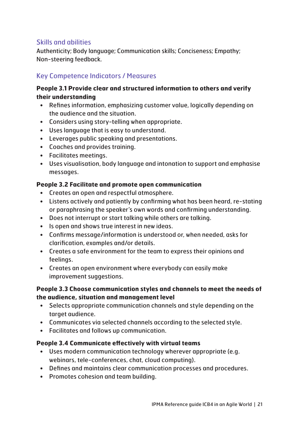# Skills and abilities

Authenticity; Body language; Communication skills; Conciseness; Empathy; Non-steering feedback.

# Key Competence Indicators / Measures

### **People 3.1 Provide clear and structured information to others and verify their understanding**

- Refines information, emphasizing customer value, logically depending on the audience and the situation.
- Considers using story-telling when appropriate.
- Uses language that is easy to understand.
- Leverages public speaking and presentations.
- Coaches and provides training.
- Facilitates meetings.
- Uses visualisation, body language and intonation to support and emphasise messages.

### **People 3.2 Facilitate and promote open communication**

- Creates an open and respectful atmosphere.
- Listens actively and patiently by confirming what has been heard, re-stating or paraphrasing the speaker's own words and confirming understanding.
- Does not interrupt or start talking while others are talking.
- Is open and shows true interest in new ideas.
- Confirms message/information is understood or, when needed, asks for clarification, examples and/or details.
- Creates a safe environment for the team to express their opinions and feelings.
- Creates an open environment where everybody can easily make improvement suggestions.

### **People 3.3 Choose communication styles and channels to meet the needs of the audience, situation and management level**

- Selects appropriate communication channels and style depending on the target audience.
- Communicates via selected channels according to the selected style.
- Facilitates and follows up communication.

### **People 3.4 Communicate effectively with virtual teams**

- Uses modern communication technology wherever appropriate (e.g. webinars, tele-conferences, chat, cloud computing).
- Defines and maintains clear communication processes and procedures.
- Promotes cohesion and team building.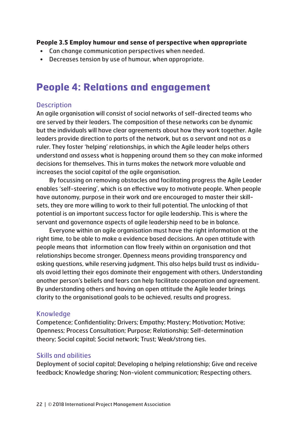#### **People 3.5 Employ humour and sense of perspective when appropriate**

- Can change communication perspectives when needed.
- Decreases tension by use of humour, when appropriate.

# **People 4: Relations and engagement**

### **Description**

An agile organisation will consist of social networks of self-directed teams who are served by their leaders. The composition of these networks can be dynamic but the individuals will have clear agreements about how they work together. Agile leaders provide direction to parts of the network, but as a servant and not as a ruler. They foster 'helping' relationships, in which the Agile leader helps others understand and assess what is happening around them so they can make informed decisions for themselves. This in turns makes the network more valuable and increases the social capital of the agile organisation.

By focussing on removing obstacles and facilitating progress the Agile Leader enables 'self-steering', which is an effective way to motivate people. When people have autonomy, purpose in their work and are encouraged to master their skillsets, they are more willing to work to their full potential. The unlocking of that potential is an important success factor for agile leadership. This is where the servant and governance aspects of agile leadership need to be in balance.

Everyone within an agile organisation must have the right information at the right time, to be able to make a evidence based decisions. An open attitude with people means that information can flow freely within an organisation and that relationships become stronger. Openness means providing transparency and asking questions, while reserving judgment. This also helps build trust as individuals avoid letting their egos dominate their engagement with others. Understanding another person's beliefs and fears can help facilitate cooperation and agreement. By understanding others and having an open attitude the Agile leader brings clarity to the organisational goals to be achieved, results and progress.

### Knowledge

Competence; Confidentiality; Drivers; Empathy; Mastery; Motivation; Motive; Openness; Process Consultation; Purpose; Relationship; Self-determination theory; Social capital; Social network; Trust; Weak/strong ties.

### Skills and abilities

Deployment of social capital; Developing a helping relationship; Give and receive feedback; Knowledge sharing; Non-violent communication; Respecting others.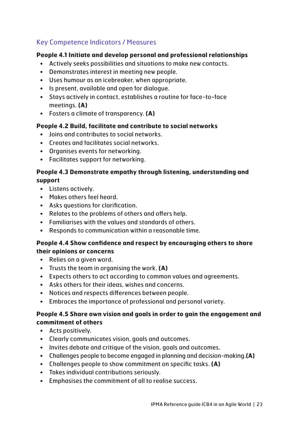# Key Competence Indicators / Measures

### **People 4.1 Initiate and develop personal and professional relationships**

- Actively seeks possibilities and situations to make new contacts.
- Demonstrates interest in meeting new people.
- Uses humour as an icebreaker, when appropriate.
- Is present, available and open for dialogue.
- Stays actively in contact, establishes a routine for face-to-face meetings. **(A)**
- Fosters a climate of transparency. **(A)**

### **People 4.2 Build, facilitate and contribute to social networks**

- Joins and contributes to social networks.
- Creates and facilitates social networks.
- Organises events for networking.
- Facilitates support for networking.

### **People 4.3 Demonstrate empathy through listening, understanding and support**

- Listens actively.
- Makes others feel heard.
- Asks questions for clarification.
- Relates to the problems of others and offers help.
- Familiarises with the values and standards of others.
- Responds to communication within a reasonable time.

### **People 4.4 Show confidence and respect by encouraging others to share their opinions or concerns**

- Relies on a given word.
- Trusts the team in organising the work. **(A)**
- Expects others to act according to common values and agreements.
- Asks others for their ideas, wishes and concerns.
- Notices and respects differences between people.
- Embraces the importance of professional and personal variety.

### **People 4.5 Share own vision and goals in order to gain the engagement and commitment of others**

- Acts positively.
- Clearly communicates vision, goals and outcomes.
- Invites debate and critique of the vision, goals and outcomes.
- Challenges people to become engaged in planning and decision-making.**(A)**
- Challenges people to show commitment on specific tasks. **(A)**
- Takes individual contributions seriously.
- Emphasises the commitment of all to realise success.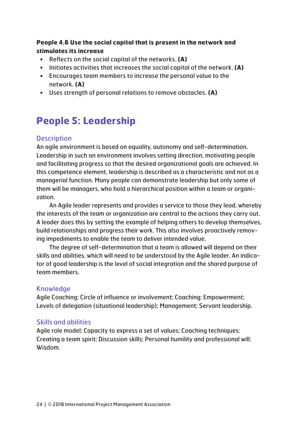### **People 4.6 Use the social capital that is present in the network and stimulates its increase**

- Reflects on the social capital of the networks. **(A)**
- Initiates activities that increases the social capital of the network. **(A)**
- Encourages team members to increase the personal value to the network. **(A)**
- Uses strength of personal relations to remove obstacles. **(A)**

# **People 5: Leadership**

## **Description**

An agile environment is based on equality, autonomy and self-determination. Leadership in such an environment involves setting direction, motivating people and facilitating progress so that the desired organizational goals are achieved. In this competence element, leadership is described as a characteristic and not as a managerial function. Many people can demonstrate leadership but only some of them will be managers, who hold a hierarchical position within a team or organization.

An Agile leader represents and provides a service to those they lead, whereby the interests of the team or organization are central to the actions they carry out. A leader does this by setting the example of helping others to develop themselves, build relationships and progress their work. This also involves proactively removing impediments to enable the team to deliver intended value.

The degree of self-determination that a team is allowed will depend on their skills and abilities, which will need to be understood by the Agile leader. An indicator of good leadership is the level of social integration and the shared purpose of team members.

## Knowledge

Agile Coaching; Circle of influence or involvement; Coaching; Empowerment; Levels of delegation (situational leadership); Management; Servant leadership.

## Skills and abilities

Agile role model; Capacity to express a set of values; Coaching techniques; Creating a team spirit; Discussion skills; Personal humility and professional will; Wisdom.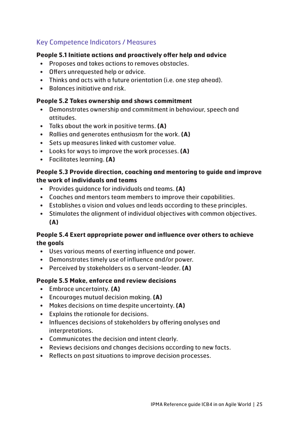# Key Competence Indicators / Measures

### **People 5.1 Initiate actions and proactively offer help and advice**

- Proposes and takes actions to removes obstacles.
- Offers unrequested help or advice.
- Thinks and acts with a future orientation (i.e. one step ahead).
- Balances initiative and risk.

#### **People 5.2 Takes ownership and shows commitment**

- Demonstrates ownership and commitment in behaviour, speech and attitudes.
- Talks about the work in positive terms. **(A)**
- Rallies and generates enthusiasm for the work. **(A)**
- Sets up measures linked with customer value.
- Looks for ways to improve the work processes. **(A)**
- Facilitates learning. **(A)**

### **People 5.3 Provide direction, coaching and mentoring to guide and improve the work of individuals and teams**

- Provides guidance for individuals and teams. **(A)**
- Coaches and mentors team members to improve their capabilities.
- Establishes a vision and values and leads according to these principles.
- Stimulates the alignment of individual objectives with common objectives. **(A)**

### **People 5.4 Exert appropriate power and influence over others to achieve the goals**

- Uses various means of exerting influence and power.
- Demonstrates timely use of influence and/or power.
- Perceived by stakeholders as a servant-leader. **(A)**

#### **People 5.5 Make, enforce and review decisions**

- Embrace uncertainty. **(A)**
- Encourages mutual decision making. **(A)**
- Makes decisions on time despite uncertainty. **(A)**
- Explains the rationale for decisions.
- Influences decisions of stakeholders by offering analyses and interpretations.
- Communicates the decision and intent clearly.
- Reviews decisions and changes decisions according to new facts.
- Reflects on past situations to improve decision processes.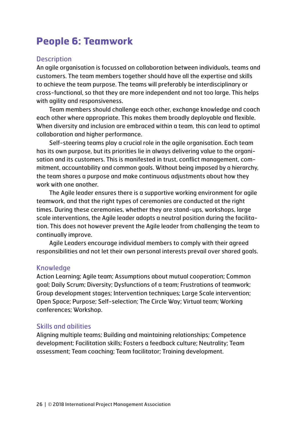# **People 6: Teamwork**

### **Description**

An agile organisation is focussed on collaboration between individuals, teams and customers. The team members together should have all the expertise and skills to achieve the team purpose. The teams will preferably be interdisciplinary or cross-functional, so that they are more independent and not too large. This helps with agility and responsiveness.

Team members should challenge each other, exchange knowledge and coach each other where appropriate. This makes them broadly deployable and flexible. When diversity and inclusion are embraced within a team, this can lead to optimal collaboration and higher performance.

Self-steering teams play a crucial role in the agile organisation. Each team has its own purpose, but its priorities lie in always delivering value to the organisation and its customers. This is manifested in trust, conflict management, commitment, accountability and common goals. Without being imposed by a hierarchy, the team shares a purpose and make continuous adjustments about how they work with one another.

The Agile leader ensures there is a supportive working environment for agile teamwork, and that the right types of ceremonies are conducted at the right times. During these ceremonies, whether they are stand-ups, workshops, large scale interventions, the Agile leader adopts a neutral position during the facilitation. This does not however prevent the Agile leader from challenging the team to continually improve.

Agile Leaders encourage individual members to comply with their agreed responsibilities and not let their own personal interests prevail over shared goals.

### Knowledge

Action Learning; Agile team; Assumptions about mutual cooperation; Common goal; Daily Scrum; Diversity; Dysfunctions of a team; Frustrations of teamwork; Group development stages; Intervention techniques; Large Scale intervention; Open Space; Purpose; Self-selection; The Circle Way; Virtual team; Working conferences; Workshop.

### Skills and abilities

Aligning multiple teams; Building and maintaining relationships; Competence development; Facilitation skills; Fosters a feedback culture; Neutrality; Team assessment; Team coaching; Team facilitator; Training development.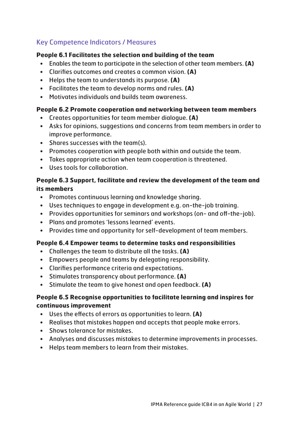# Key Competence Indicators / Measures

#### **People 6.1 Facilitates the selection and building of the team**

- Enables the team to participate in the selection of other team members. **(A)**
- Clarifies outcomes and creates a common vision. **(A)**
- Helps the team to understands its purpose. **(A)**
- Facilitates the team to develop norms and rules. **(A)**
- Motivates individuals and builds team awareness.

#### **People 6.2 Promote cooperation and networking between team members**

- Creates opportunities for team member dialogue. **(A)**
- Asks for opinions, suggestions and concerns from team members in order to improve performance.
- Shares successes with the team(s).
- Promotes cooperation with people both within and outside the team.
- Takes appropriate action when team cooperation is threatened.
- Uses tools for collaboration.

### **People 6.3 Support, facilitate and review the development of the team and its members**

- Promotes continuous learning and knowledge sharing.
- Uses techniques to engage in development e.g. on-the-job training.
- Provides opportunities for seminars and workshops (on- and off-the-job).
- Plans and promotes 'lessons learned' events.
- Provides time and opportunity for self-development of team members.

#### **People 6.4 Empower teams to determine tasks and responsibilities**

- Challenges the team to distribute all the tasks. **(A)**
- Empowers people and teams by delegating responsibility.
- Clarifies performance criteria and expectations.
- Stimulates transparency about performance. **(A)**
- Stimulate the team to give honest and open feedback. **(A)**

### **People 6.5 Recognise opportunities to facilitate learning and inspires for continuous improvement**

- Uses the effects of errors as opportunities to learn. **(A)**
- Realises that mistakes happen and accepts that people make errors.
- Shows tolerance for mistakes.
- Analyses and discusses mistakes to determine improvements in processes.
- Helps team members to learn from their mistakes.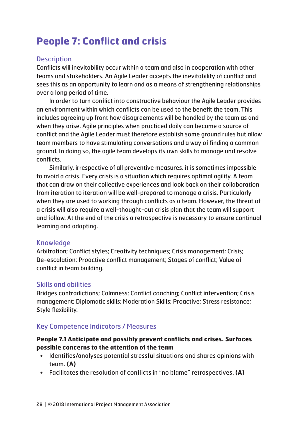# **People 7: Conflict and crisis**

### **Description**

Conflicts will inevitability occur within a team and also in cooperation with other teams and stakeholders. An Agile Leader accepts the inevitability of conflict and sees this as an opportunity to learn and as a means of strengthening relationships over a long period of time.

In order to turn conflict into constructive behaviour the Agile Leader provides an environment within which conflicts can be used to the benefit the team. This includes agreeing up front how disagreements will be handled by the team as and when they arise. Agile principles when practiced daily can become a source of conflict and the Agile Leader must therefore establish some ground rules but allow team members to have stimulating conversations and a way of finding a common ground. In doing so, the agile team develops its own skills to manage and resolve conflicts.

Similarly, irrespective of all preventive measures, it is sometimes impossible to avoid a crisis. Every crisis is a situation which requires optimal agility. A team that can draw on their collective experiences and look back on their collaboration from iteration to iteration will be well-prepared to manage a crisis. Particularly when they are used to working through conflicts as a team. However, the threat of a crisis will also require a well-thought-out crisis plan that the team will support and follow. At the end of the crisis a retrospective is necessary to ensure continual learning and adapting.

### Knowledge

Arbitration; Conflict styles; Creativity techniques; Crisis management; Crisis; De-escalation; Proactive conflict management; Stages of conflict; Value of conflict in team building.

### Skills and abilities

Bridges contradictions; Calmness; Conflict coaching; Conflict intervention; Crisis management; Diplomatic skills; Moderation Skills; Proactive; Stress resistance; Style flexibility.

### Key Competence Indicators / Measures

### **People 7.1 Anticipate and possibly prevent conflicts and crises. Surfaces possible concerns to the attention of the team**

- Identifies/analyses potential stressful situations and shares opinions with team. **(A)**
- Facilitates the resolution of conflicts in "no blame" retrospectives. **(A)**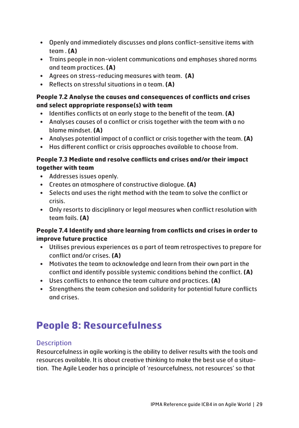- Openly and immediately discusses and plans conflict-sensitive items with team . **(A)**
- Trains people in non-violent communications and emphases shared norms and team practices. **(A)**
- Agrees on stress-reducing measures with team. **(A)**
- Reflects on stressful situations in a team. **(A)**

# **People 7.2 Analyse the causes and consequences of conflicts and crises and select appropriate response(s) with team**

- Identifies conflicts at an early stage to the benefit of the team. **(A)**
- Analyses causes of a conflict or crisis together with the team with a no blame mindset. **(A)**
- Analyses potential impact of a conflict or crisis together with the team. **(A)**
- Has different conflict or crisis approaches available to choose from.

## **People 7.3 Mediate and resolve conflicts and crises and/or their impact together with team**

- Addresses issues openly.
- Creates an atmosphere of constructive dialogue. **(A)**
- Selects and uses the right method with the team to solve the conflict or crisis.
- Only resorts to disciplinary or legal measures when conflict resolution with team fails. **(A)**

# **People 7.4 Identify and share learning from conflicts and crises in order to improve future practice**

- Utilises previous experiences as a part of team retrospectives to prepare for conflict and/or crises. **(A)**
- Motivates the team to acknowledge and learn from their own part in the conflict and identify possible systemic conditions behind the conflict. **(A)**
- Uses conflicts to enhance the team culture and practices. **(A)**
- Strengthens the team cohesion and solidarity for potential future conflicts and crises.

# **People 8: Resourcefulness**

# **Description**

Resourcefulness in agile working is the ability to deliver results with the tools and resources available. It is about creative thinking to make the best use of a situation. The Agile Leader has a principle of 'resourcefulness, not resources' so that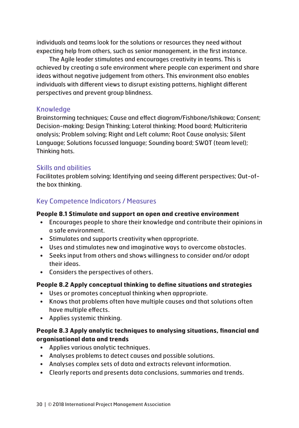individuals and teams look for the solutions or resources they need without expecting help from others, such as senior management, in the first instance.

The Agile leader stimulates and encourages creativity in teams. This is achieved by creating a safe environment where people can experiment and share ideas without negative judgement from others. This environment also enables individuals with different views to disrupt existing patterns, highlight different perspectives and prevent group blindness.

### Knowledge

Brainstorming techniques; Cause and effect diagram/Fishbone/Ishikawa; Consent; Decision-making; Design Thinking; Lateral thinking; Mood board; Multicriteria analysis; Problem solving; Right and Left column; Root Cause analysis; Silent Language; Solutions focussed language; Sounding board; SWOT (team level); Thinking hats.

## Skills and abilities

Facilitates problem solving; Identifying and seeing different perspectives; Out-ofthe box thinking.

# Key Competence Indicators / Measures

### **People 8.1 Stimulate and support an open and creative environment**

- Encourages people to share their knowledge and contribute their opinions in a safe environment.
- Stimulates and supports creativity when appropriate.
- Uses and stimulates new and imaginative ways to overcome obstacles.
- Seeks input from others and shows willingness to consider and/or adopt their ideas.
- Considers the perspectives of others.

### **People 8.2 Apply conceptual thinking to define situations and strategies**

- Uses or promotes conceptual thinking when appropriate.
- Knows that problems often have multiple causes and that solutions often have multiple effects.
- Applies systemic thinking.

### **People 8.3 Apply analytic techniques to analysing situations, financial and organisational data and trends**

- Applies various analytic techniques.
- Analyses problems to detect causes and possible solutions.
- Analyses complex sets of data and extracts relevant information.
- Clearly reports and presents data conclusions, summaries and trends.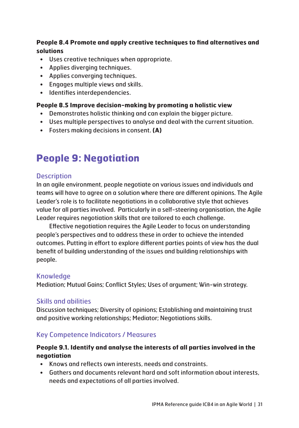### **People 8.4 Promote and apply creative techniques to find alternatives and solutions**

- Uses creative techniques when appropriate.
- Applies diverging techniques.
- Applies converging techniques.
- Engages multiple views and skills.
- Identifies interdependencies.

### **People 8.5 Improve decision-making by promoting a holistic view**

- Demonstrates holistic thinking and can explain the bigger picture.
- Uses multiple perspectives to analyse and deal with the current situation.
- Fosters making decisions in consent. **(A)**

# **People 9: Negotiation**

# **Description**

In an agile environment, people negotiate on various issues and individuals and teams will have to agree on a solution where there are different opinions. The Agile Leader's role is to facilitate negotiations in a collaborative style that achieves value for all parties involved. Particularly in a self-steering organisation, the Agile Leader requires negotiation skills that are tailored to each challenge.

Effective negotiation requires the Agile Leader to focus on understanding people's perspectives and to address these in order to achieve the intended outcomes. Putting in effort to explore different parties points of view has the dual benefit of building understanding of the issues and building relationships with people.

# Knowledge

Mediation; Mutual Gains; Conflict Styles; Uses of argument; Win-win strategy.

# Skills and abilities

Discussion techniques; Diversity of opinions; Establishing and maintaining trust and positive working relationships; Mediator; Negotiations skills.

# Key Competence Indicators / Measures

## **People 9.1. Identify and analyse the interests of all parties involved in the negotiation**

- Knows and reflects own interests, needs and constraints.
- Gathers and documents relevant hard and soft information about interests, needs and expectations of all parties involved.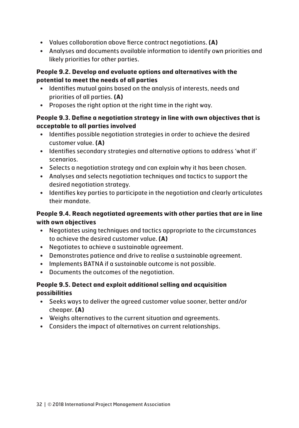- Values collaboration above fierce contract negotiations. **(A)**
- Analyses and documents available information to identify own priorities and likely priorities for other parties.

### **People 9.2. Develop and evaluate options and alternatives with the potential to meet the needs of all parties**

- Identifies mutual gains based on the analysis of interests, needs and priorities of all parties. **(A)**
- Proposes the right option at the right time in the right way.

### **People 9.3. Define a negotiation strategy in line with own objectives that is acceptable to all parties involved**

- Identifies possible negotiation strategies in order to achieve the desired customer value. **(A)**
- Identifies secondary strategies and alternative options to address 'what if' scenarios.
- Selects a negotiation strategy and can explain why it has been chosen.
- Analyses and selects negotiation techniques and tactics to support the desired negotiation strategy.
- Identifies key parties to participate in the negotiation and clearly articulates their mandate.

### **People 9.4. Reach negotiated agreements with other parties that are in line with own objectives**

- Negotiates using techniques and tactics appropriate to the circumstances to achieve the desired customer value. **(A)**
- Negotiates to achieve a sustainable agreement.
- Demonstrates patience and drive to realise a sustainable agreement.
- Implements BATNA if a sustainable outcome is not possible.
- Documents the outcomes of the negotiation.

### **People 9.5. Detect and exploit additional selling and acquisition possibilities**

- Seeks ways to deliver the agreed customer value sooner, better and/or cheaper. **(A)**
- Weighs alternatives to the current situation and agreements.
- Considers the impact of alternatives on current relationships.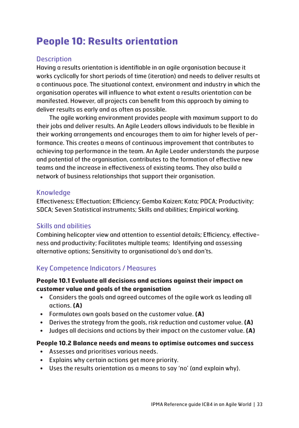# **People 10: Results orientation**

### **Description**

Having a results orientation is identifiable in an agile organisation because it works cyclically for short periods of time (iteration) and needs to deliver results at a continuous pace. The situational context, environment and industry in which the organisation operates will influence to what extent a results orientation can be manifested. However, all projects can benefit from this approach by aiming to deliver results as early and as often as possible.

The agile working environment provides people with maximum support to do their jobs and deliver results. An Agile Leaders allows individuals to be flexible in their working arrangements and encourages them to aim for higher levels of performance. This creates a means of continuous improvement that contributes to achieving top performance in the team. An Agile Leader understands the purpose and potential of the organisation, contributes to the formation of effective new teams and the increase in effectiveness of existing teams. They also build a network of business relationships that support their organisation.

### **Knowledge**

Effectiveness; Effectuation; Efficiency; Gemba Kaizen; Kata; PDCA; Productivity; SDCA; Seven Statistical instruments; Skills and abilities; Empirical working.

### Skills and abilities

Combining helicopter view and attention to essential details; Efficiency, effectiveness and productivity; Facilitates multiple teams; Identifying and assessing alternative options; Sensitivity to organisational do's and don'ts.

## Key Competence Indicators / Measures

### **People 10.1 Evaluate all decisions and actions against their impact on customer value and goals of the organisation**

- Considers the goals and agreed outcomes of the agile work as leading all actions. **(A)**
- Formulates own goals based on the customer value. **(A)**
- Derives the strategy from the goals, risk reduction and customer value. **(A)**
- Judges all decisions and actions by their impact on the customer value. **(A)**

### **People 10.2 Balance needs and means to optimise outcomes and success**

- Assesses and prioritises various needs.
- Explains why certain actions get more priority.
- Uses the results orientation as a means to say 'no' (and explain why).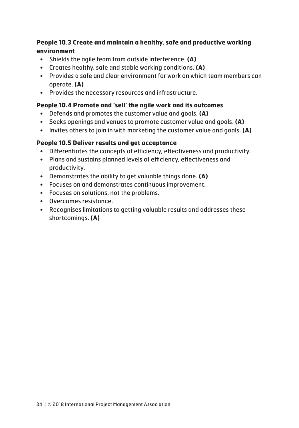### **People 10.3 Create and maintain a healthy, safe and productive working environment**

- Shields the agile team from outside interference. **(A)**
- Creates healthy, safe and stable working conditions. **(A)**
- Provides a safe and clear environment for work on which team members can operate. **(A)**
- Provides the necessary resources and infrastructure.

### **People 10.4 Promote and 'sell' the agile work and its outcomes**

- Defends and promotes the customer value and goals. **(A)**
- Seeks openings and venues to promote customer value and goals. **(A)**
- Invites others to join in with marketing the customer value and goals. **(A)**

### **People 10.5 Deliver results and get acceptance**

- Differentiates the concepts of efficiency, effectiveness and productivity.
- Plans and sustains planned levels of efficiency, effectiveness and productivity.
- Demonstrates the ability to get valuable things done. **(A)**
- Focuses on and demonstrates continuous improvement.
- Focuses on solutions, not the problems.
- Overcomes resistance.
- Recognises limitations to getting valuable results and addresses these shortcomings. **(A)**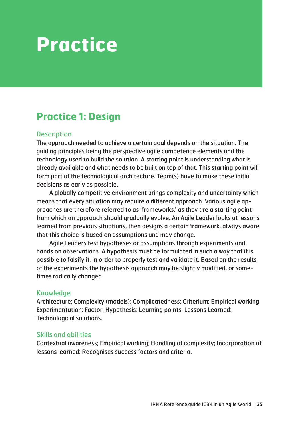# **Practice**

# **Practice 1: Design**

### **Description**

The approach needed to achieve a certain goal depends on the situation. The guiding principles being the perspective agile competence elements and the technology used to build the solution. A starting point is understanding what is already available and what needs to be built on top of that. This starting point will form part of the technological architecture. Team(s) have to make these initial decisions as early as possible.

A globally competitive environment brings complexity and uncertainty which means that every situation may require a different approach. Various agile approaches are therefore referred to as 'frameworks,' as they are a starting point from which an approach should gradually evolve. An Agile Leader looks at lessons learned from previous situations, then designs a certain framework, always aware that this choice is based on assumptions and may change.

Agile Leaders test hypotheses or assumptions through experiments and hands on observations. A hypothesis must be formulated in such a way that it is possible to falsify it, in order to properly test and validate it. Based on the results of the experiments the hypothesis approach may be slightly modified, or sometimes radically changed.

## Knowledge

Architecture; Complexity (models); Complicatedness; Criterium; Empirical working; Experimentation; Factor; Hypothesis; Learning points; Lessons Learned; Technological solutions.

### Skills and abilities

Contextual awareness; Empirical working; Handling of complexity; Incorporation of lessons learned; Recognises success factors and criteria.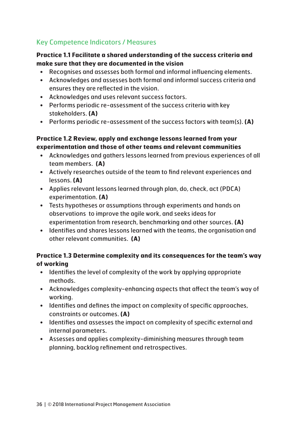# Key Competence Indicators / Measures

### **Practice 1.1 Facilitate a shared understanding of the success criteria and make sure that they are documented in the vision**

- Recognises and assesses both formal and informal influencing elements.
- Acknowledges and assesses both formal and informal success criteria and ensures they are reflected in the vision.
- Acknowledges and uses relevant success factors.
- Performs periodic re-assessment of the success criteria with key stakeholders. **(A)**
- Performs periodic re-assessment of the success factors with team(s). **(A)**

### **Practice 1.2 Review, apply and exchange lessons learned from your experimentation and those of other teams and relevant communities**

- Acknowledges and gathers lessons learned from previous experiences of all team members. **(A)**
- Actively researches outside of the team to find relevant experiences and lessons. **(A)**
- Applies relevant lessons learned through plan, do, check, act (PDCA) experimentation. **(A)**
- Tests hypotheses or assumptions through experiments and hands on observations to improve the agile work, and seeks ideas for experimentation from research, benchmarking and other sources. **(A)**
- Identifies and shares lessons learned with the teams, the organisation and other relevant communities. **(A)**

# **Practice 1.3 Determine complexity and its consequences for the team's way of working**

- Identifies the level of complexity of the work by applying appropriate methods.
- Acknowledges complexity-enhancing aspects that affect the team's way of working.
- Identifies and defines the impact on complexity of specific approaches, constraints or outcomes. **(A)**
- Identifies and assesses the impact on complexity of specific external and internal parameters.
- Assesses and applies complexity-diminishing measures through team planning, backlog refinement and retrospectives.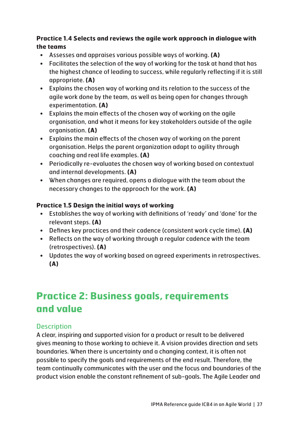# **Practice 1.4 Selects and reviews the agile work approach in dialogue with the teams**

- Assesses and appraises various possible ways of working. **(A)**
- Facilitates the selection of the way of working for the task at hand that has the highest chance of leading to success, while regularly reflecting if it is still appropriate. **(A)**
- Explains the chosen way of working and its relation to the success of the agile work done by the team, as well as being open for changes through experimentation. **(A)**
- Explains the main effects of the chosen way of working on the agile organisation, and what it means for key stakeholders outside of the agile organisation. **(A)**
- Explains the main effects of the chosen way of working on the parent organisation. Helps the parent organization adapt to agility through coaching and real life examples. **(A)**
- Periodically re-evaluates the chosen way of working based on contextual and internal developments. **(A)**
- When changes are required, opens a dialogue with the team about the necessary changes to the approach for the work. **(A)**

# **Practice 1.5 Design the initial ways of working**

- Establishes the way of working with definitions of 'ready' and 'done' for the relevant steps. **(A)**
- Defines key practices and their cadence (consistent work cycle time). **(A)**
- Reflects on the way of working through a regular cadence with the team (retrospectives). **(A)**
- Updates the way of working based on agreed experiments in retrospectives. **(A)**

# **Practice 2: Business goals, requirements and value**

# **Description**

A clear, inspiring and supported vision for a product or result to be delivered gives meaning to those working to achieve it. A vision provides direction and sets boundaries. When there is uncertainty and a changing context, it is often not possible to specify the goals and requirements of the end result. Therefore, the team continually communicates with the user and the focus and boundaries of the product vision enable the constant refinement of sub-goals. The Agile Leader and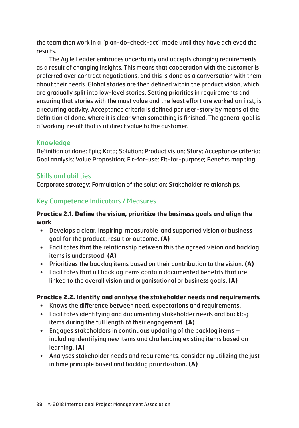the team then work in a "plan-do-check-act" mode until they have achieved the results.

The Agile Leader embraces uncertainty and accepts changing requirements as a result of changing insights. This means that cooperation with the customer is preferred over contract negotiations, and this is done as a conversation with them about their needs. Global stories are then defined within the product vision, which are gradually split into low-level stories. Setting priorities in requirements and ensuring that stories with the most value and the least effort are worked on first, is a recurring activity. Acceptance criteria is defined per user-story by means of the definition of done, where it is clear when something is finished. The general goal is a 'working' result that is of direct value to the customer.

# Knowledge

Definition of done; Epic; Kata; Solution; Product vision; Story; Acceptance criteria; Goal analysis; Value Proposition; Fit-for-use; Fit-for-purpose; Benefits mapping.

# Skills and abilities

Corporate strategy; Formulation of the solution; Stakeholder relationships.

# Key Competence Indicators / Measures

#### **Practice 2.1. Define the vision, prioritize the business goals and align the work**

- Develops a clear, inspiring, measurable and supported vision or business goal for the product, result or outcome. **(A)**
- Facilitates that the relationship between this the agreed vision and backlog items is understood. **(A)**
- Prioritizes the backlog items based on their contribution to the vision. **(A)**
- Facilitates that all backlog items contain documented benefits that are linked to the overall vision and organisational or business goals. **(A)**

#### **Practice 2.2. Identify and analyse the stakeholder needs and requirements**

- Knows the difference between need, expectations and requirements.
- Facilitates identifying and documenting stakeholder needs and backlog items during the full length of their engagement. **(A)**
- Engages stakeholders in continuous updating of the backlog items including identifying new items and challenging existing items based on learning. **(A)**
- Analyses stakeholder needs and requirements, considering utilizing the just in time principle based and backlog prioritization. **(A)**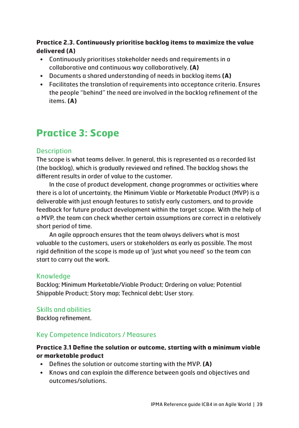# **Practice 2.3. Continuously prioritise backlog items to maximize the value delivered (A)**

- Continuously prioritises stakeholder needs and requirements in a collaborative and continuous way collaboratively. **(A)**
- Documents a shared understanding of needs in backlog items **(A)**
- Facilitates the translation of requirements into acceptance criteria. Ensures the people "behind" the need are involved in the backlog refinement of the items. **(A)**

# **Practice 3: Scope**

# **Description**

The scope is what teams deliver. In general, this is represented as a recorded list (the backlog), which is gradually reviewed and refined. The backlog shows the different results in order of value to the customer.

In the case of product development, change programmes or activities where there is a lot of uncertainty, the Minimum Viable or Marketable Product (MVP) is a deliverable with just enough features to satisfy early customers, and to provide feedback for future product development within the target scope. With the help of a MVP, the team can check whether certain assumptions are correct in a relatively short period of time.

An agile approach ensures that the team always delivers what is most valuable to the customers, users or stakeholders as early as possible. The most rigid definition of the scope is made up of 'just what you need' so the team can start to carry out the work.

# Knowledge

Backlog; Minimum Marketable/Viable Product; Ordering on value; Potential Shippable Product; Story map; Technical debt; User story.

# Skills and abilities

Backlog refinement.

# Key Competence Indicators / Measures

# **Practice 3.1 Define the solution or outcome, starting with a minimum viable or marketable product**

- Defines the solution or outcome starting with the MVP. **(A)**
- Knows and can explain the difference between goals and objectives and outcomes/solutions.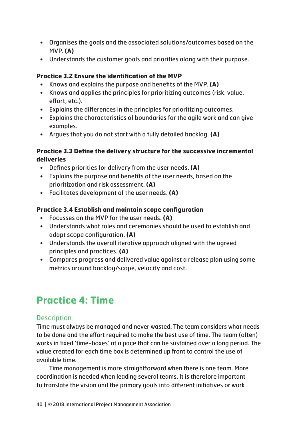- Organises the goals and the associated solutions/outcomes based on the MVP. **(A)**
- Understands the customer goals and priorities along with their purpose.

#### **Practice 3.2 Ensure the identification of the MVP**

- Knows and explains the purpose and benefits of the MVP. **(A)**
- Knows and applies the principles for prioritizing outcomes (risk, value, effort, etc.).
- Explains the differences in the principles for prioritizing outcomes.
- Explains the characteristics of boundaries for the agile work and can give examples.
- Argues that you do not start with a fully detailed backlog. **(A)**

#### **Practice 3.3 Define the delivery structure for the successive incremental deliveries**

- Defines priorities for delivery from the user needs. **(A)**
- Explains the purpose and benefits of the user needs, based on the prioritization and risk assessment. **(A)**
- Facilitates development of the user needs. **(A)**

#### **Practice 3.4 Establish and maintain scope configuration**

- Focusses on the MVP for the user needs. **(A)**
- Understands what roles and ceremonies should be used to establish and adapt scope configuration. **(A)**
- Understands the overall iterative approach aligned with the agreed principles and practices. **(A)**
- Compares progress and delivered value against a release plan using some metrics around backlog/scope, velocity and cost.

# **Practice 4: Time**

# **Description**

Time must always be managed and never wasted. The team considers what needs to be done and the effort required to make the best use of time. The team (often) works in fixed 'time-boxes' at a pace that can be sustained over a long period. The value created for each time box is determined up front to control the use of available time.

Time management is more straightforward when there is one team. More coordination is needed when leading several teams. It is therefore important to translate the vision and the primary goals into different initiatives or work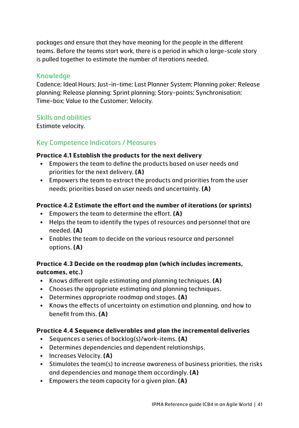packages and ensure that they have meaning for the people in the different teams. Before the teams start work, there is a period in which a large-scale story is pulled together to estimate the number of iterations needed.

# **Knowledge**

Cadence; Ideal Hours; Just-in-time; Last Planner System; Planning poker; Release planning; Release planning; Sprint planning; Story-points; Synchronisation; Time-box; Value to the Customer; Velocity.

# Skills and abilities

Estimate velocity.

# Key Competence Indicators / Measures

#### **Practice 4.1 Establish the products for the next delivery**

- Empowers the team to define the products based on user needs and priorities for the next delivery. **(A)**
- Empowers the team to extract the products and priorities from the user needs; priorities based on user needs and uncertainty. **(A)**

#### **Practice 4.2 Estimate the effort and the number of iterations (or sprints)**

- Empowers the team to determine the effort. **(A)**
- Helps the team to identify the types of resources and personnel that are needed. **(A)**
- Enables the team to decide on the various resource and personnel options. **(A)**

# **Practice 4.3 Decide on the roadmap plan (which includes increments, outcomes, etc.)**

- Knows different agile estimating and planning techniques. **(A)**
- Chooses the appropriate estimating and planning techniques.
- Determines appropriate roadmap and stages. **(A)**
- Knows the effects of uncertainty on estimation and planning, and how to benefit from this. **(A)**

#### **Practice 4.4 Sequence deliverables and plan the incremental deliveries**

- Sequences a series of backlog(s)/work-items. **(A)**
- Determines dependencies and dependent relationships.
- Increases Velocity. **(A)**
- Stimulates the team(s) to increase awareness of business priorities, the risks and dependencies and manage them accordingly. **(A)**
- Empowers the team capacity for a given plan. **(A)**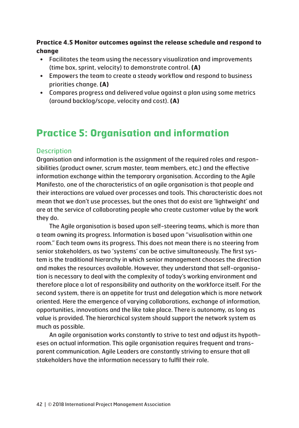### **Practice 4.5 Monitor outcomes against the release schedule and respond to change**

- Facilitates the team using the necessary visualization and improvements (time box, sprint, velocity) to demonstrate control. **(A)**
- Empowers the team to create a steady workflow and respond to business priorities change. **(A)**
- Compares progress and delivered value against a plan using some metrics (around backlog/scope, velocity and cost). **(A)**

# **Practice 5: Organisation and information**

# **Description**

Organisation and information is the assignment of the required roles and responsibilities (product owner, scrum master, team members, etc.) and the effective information exchange within the temporary organisation. According to the Agile Manifesto, one of the characteristics of an agile organisation is that people and their interactions are valued over processes and tools. This characteristic does not mean that we don't use processes, but the ones that do exist are 'lightweight' and are at the service of collaborating people who create customer value by the work they do.

The Agile organisation is based upon self-steering teams, which is more than a team owning its progress. Information is based upon "visualisation within one room." Each team owns its progress. This does not mean there is no steering from senior stakeholders, as two 'systems' can be active simultaneously. The first system is the traditional hierarchy in which senior management chooses the direction and makes the resources available. However, they understand that self-organisation is necessary to deal with the complexity of today's working environment and therefore place a lot of responsibility and authority on the workforce itself. For the second system, there is an appetite for trust and delegation which is more network oriented. Here the emergence of varying collaborations, exchange of information, opportunities, innovations and the like take place. There is autonomy, as long as value is provided. The hierarchical system should support the network system as much as possible.

An agile organisation works constantly to strive to test and adjust its hypotheses on actual information. This agile organisation requires frequent and transparent communication. Agile Leaders are constantly striving to ensure that all stakeholders have the information necessary to fulfil their role.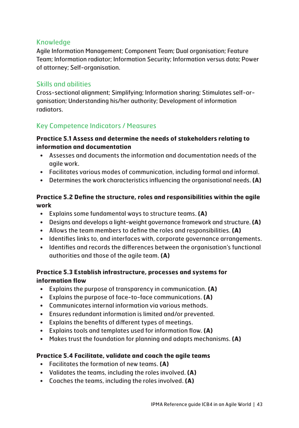# Knowledge

Agile Information Management; Component Team; Dual organisation; Feature Team; Information radiator; Information Security; Information versus data; Power of attorney; Self-organisation.

# Skills and abilities

Cross-sectional alignment; Simplifying; Information sharing; Stimulates self-organisation; Understanding his/her authority; Development of information radiators.

# Key Competence Indicators / Measures

#### **Practice 5.1 Assess and determine the needs of stakeholders relating to information and documentation**

- Assesses and documents the information and documentation needs of the agile work.
- Facilitates various modes of communication, including formal and informal.
- Determines the work characteristics influencing the organisational needs. **(A)**

#### **Practice 5.2 Define the structure, roles and responsibilities within the agile work**

- Explains some fundamental ways to structure teams. **(A)**
- Designs and develops a light-weight governance framework and structure. **(A)**
- Allows the team members to define the roles and responsibilities. **(A)**
- Identifies links to, and interfaces with, corporate governance arrangements.
- Identifies and records the differences between the organisation's functional authorities and those of the agile team. **(A)**

#### **Practice 5.3 Establish infrastructure, processes and systems for information flow**

- Explains the purpose of transparency in communication. **(A)**
- Explains the purpose of face-to-face communications. **(A)**
- Communicates internal information via various methods.
- Ensures redundant information is limited and/or prevented.
- Explains the benefits of different types of meetings.
- Explains tools and templates used for information flow. **(A)**
- Makes trust the foundation for planning and adapts mechanisms. **(A)**

#### **Practice 5.4 Facilitate, validate and coach the agile teams**

- Facilitates the formation of new teams. **(A)**
- Validates the teams, including the roles involved. **(A)**
- Coaches the teams, including the roles involved. **(A)**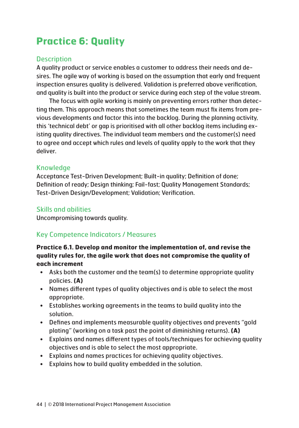# **Practice 6: Quality**

## **Description**

A quality product or service enables a customer to address their needs and desires. The agile way of working is based on the assumption that early and frequent inspection ensures quality is delivered. Validation is preferred above verification, and quality is built into the product or service during each step of the value stream.

The focus with agile working is mainly on preventing errors rather than detecting them. This approach means that sometimes the team must fix items from previous developments and factor this into the backlog. During the planning activity, this 'technical debt' or gap is prioritised with all other backlog items including existing quality directives. The individual team members and the customer(s) need to agree and accept which rules and levels of quality apply to the work that they deliver.

# Knowledge

Acceptance Test-Driven Development; Built-in quality; Definition of done; Definition of ready; Design thinking; Fail-fast; Quality Management Standards; Test-Driven Design/Development; Validation; Verification.

# Skills and abilities

Uncompromising towards quality.

# Key Competence Indicators / Measures

#### **Practice 6.1. Develop and monitor the implementation of, and revise the quality rules for, the agile work that does not compromise the quality of each increment**

- Asks both the customer and the team(s) to determine appropriate quality policies. **(A)**
- Names different types of quality objectives and is able to select the most appropriate.
- Establishes working agreements in the teams to build quality into the solution.
- Defines and implements measurable quality objectives and prevents "gold plating" (working on a task past the point of diminishing returns). **(A)**
- Explains and names different types of tools/techniques for achieving quality objectives and is able to select the most appropriate.
- Explains and names practices for achieving quality objectives.
- Explains how to build quality embedded in the solution.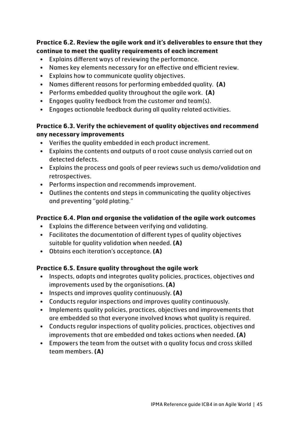## **Practice 6.2. Review the agile work and it's deliverables to ensure that they continue to meet the quality requirements of each increment**

- Explains different ways of reviewing the performance.
- Names key elements necessary for an effective and efficient review.
- Explains how to communicate quality objectives.
- Names different reasons for performing embedded quality. **(A)**
- Performs embedded quality throughout the agile work. **(A)**
- Engages quality feedback from the customer and team(s).
- Engages actionable feedback during all quality related activities.

# **Practice 6.3. Verify the achievement of quality objectives and recommend any necessary improvements**

- Verifies the quality embedded in each product increment.
- Explains the contents and outputs of a root cause analysis carried out on detected defects.
- Explains the process and goals of peer reviews such us demo/validation and retrospectives.
- Performs inspection and recommends improvement.
- Outlines the contents and steps in communicating the quality objectives and preventing "gold plating."

# **Practice 6.4. Plan and organise the validation of the agile work outcomes**

- Explains the difference between verifying and validating.
- Facilitates the documentation of different types of quality objectives suitable for quality validation when needed. **(A)**
- Obtains each iteration's acceptance. **(A)**

# **Practice 6.5. Ensure quality throughout the agile work**

- Inspects, adapts and integrates quality policies, practices, objectives and improvements used by the organisations. **(A)**
- Inspects and improves quality continuously. **(A)**
- Conducts regular inspections and improves quality continuously.
- Implements quality policies, practices, objectives and improvements that are embedded so that everyone involved knows what quality is required.
- Conducts regular inspections of quality policies, practices, objectives and improvements that are embedded and takes actions when needed. **(A)**
- Empowers the team from the outset with a quality focus and cross skilled team members. **(A)**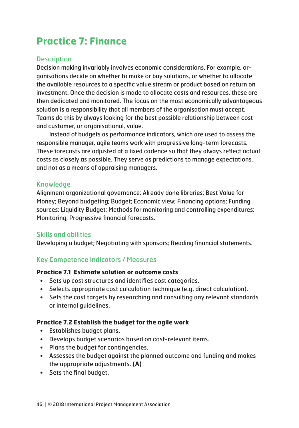# **Practice 7: Finance**

# **Description**

Decision making invariably involves economic considerations. For example, organisations decide on whether to make or buy solutions, or whether to allocate the available resources to a specific value stream or product based on return on investment. Once the decision is made to allocate costs and resources, these are then dedicated and monitored. The focus on the most economically advantageous solution is a responsibility that all members of the organisation must accept. Teams do this by always looking for the best possible relationship between cost and customer, or organisational, value.

Instead of budgets as performance indicators, which are used to assess the responsible manager, agile teams work with progressive long-term forecasts. These forecasts are adjusted at a fixed cadence so that they always reflect actual costs as closely as possible. They serve as predictions to manage expectations, and not as a means of appraising managers.

#### Knowledge

Alignment organizational governance; Already done libraries; Best Value for Money; Beyond budgeting; Budget; Economic view; Financing options; Funding sources; Liquidity Budget; Methods for monitoring and controlling expenditures; Monitoring; Progressive financial forecasts.

# Skills and abilities

Developing a budget; Negotiating with sponsors; Reading financial statements.

# Key Competence Indicators / Measures

#### **Practice 7.1 Estimate solution or outcome costs**

- Sets up cost structures and identifies cost categories.
- Selects appropriate cost calculation technique (e.g. direct calculation).
- Sets the cost targets by researching and consulting any relevant standards or internal guidelines.

#### **Practice 7.2 Establish the budget for the agile work**

- Establishes budget plans.
- Develops budget scenarios based on cost-relevant items.
- Plans the budget for contingencies.
- Assesses the budget against the planned outcome and funding and makes the appropriate adjustments. **(A)**
- Sets the final budget.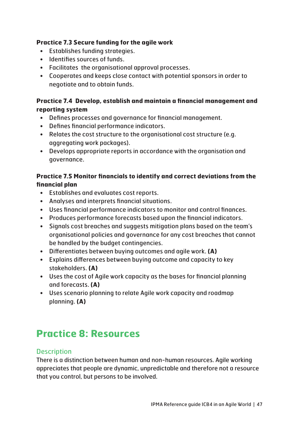#### **Practice 7.3 Secure funding for the agile work**

- Establishes funding strategies.
- Identifies sources of funds.
- Facilitates the organisational approval processes.
- Cooperates and keeps close contact with potential sponsors in order to negotiate and to obtain funds.

# **Practice 7.4 Develop, establish and maintain a financial management and reporting system**

- Defines processes and governance for financial management.
- Defines financial performance indicators.
- Relates the cost structure to the organisational cost structure (e.g. aggregating work packages).
- Develops appropriate reports in accordance with the organisation and governance.

# **Practice 7.5 Monitor financials to identify and correct deviations from the financial plan**

- Establishes and evaluates cost reports.
- Analyses and interprets financial situations.
- Uses financial performance indicators to monitor and control finances.
- Produces performance forecasts based upon the financial indicators.
- Signals cost breaches and suggests mitigation plans based on the team's organisational policies and governance for any cost breaches that cannot be handled by the budget contingencies.
- Differentiates between buying outcomes and agile work. **(A)**
- Explains differences between buying outcome and capacity to key stakeholders. **(A)**
- Uses the cost of Agile work capacity as the bases for financial planning and forecasts. **(A)**
- Uses scenario planning to relate Agile work capacity and roadmap planning. **(A)**

# **Practice 8: Resources**

# **Description**

There is a distinction between human and non-human resources. Agile working appreciates that people are dynamic, unpredictable and therefore not a resource that you control, but persons to be involved.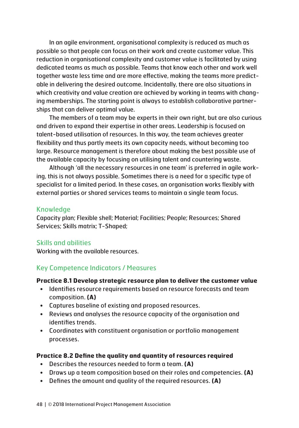In an agile environment, organisational complexity is reduced as much as possible so that people can focus on their work and create customer value. This reduction in organisational complexity and customer value is facilitated by using dedicated teams as much as possible. Teams that know each other and work well together waste less time and are more effective, making the teams more predictable in delivering the desired outcome. Incidentally, there are also situations in which creativity and value creation are achieved by working in teams with changing memberships. The starting point is always to establish collaborative partnerships that can deliver optimal value.

The members of a team may be experts in their own right, but are also curious and driven to expand their expertise in other areas. Leadership is focused on talent-based utilisation of resources. In this way, the team achieves greater flexibility and thus partly meets its own capacity needs, without becoming too large. Resource management is therefore about making the best possible use of the available capacity by focusing on utilising talent and countering waste.

Although 'all the necessary resources in one team' is preferred in agile working, this is not always possible. Sometimes there is a need for a specific type of specialist for a limited period. In these cases, an organisation works flexibly with external parties or shared services teams to maintain a single team focus.

#### Knowledge

Capacity plan; Flexible shell; Material; Facilities; People; Resources; Shared Services; Skills matrix; T-Shaped;

#### Skills and abilities

Working with the available resources.

# Key Competence Indicators / Measures

#### **Practice 8.1 Develop strategic resource plan to deliver the customer value**

- Identifies resource requirements based on resource forecasts and team composition. **(A)**
- Captures baseline of existing and proposed resources.
- Reviews and analyses the resource capacity of the organisation and identifies trends.
- Coordinates with constituent organisation or portfolio management processes.

#### **Practice 8.2 Define the quality and quantity of resources required**

- Describes the resources needed to form a team. **(A)**
- Draws up a team composition based on their roles and competencies. **(A)**
- Defines the amount and quality of the required resources. **(A)**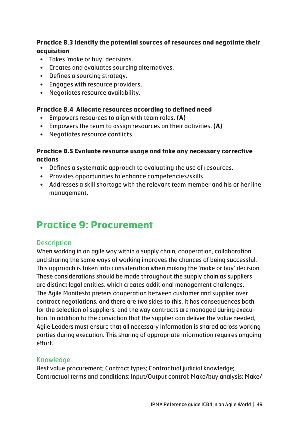## **Practice 8.3 Identify the potential sources of resources and negotiate their acquisition**

- Takes 'make or buy' decisions.
- Creates and evaluates sourcing alternatives.
- Defines a sourcing strategy.
- Engages with resource providers.
- Negotiates resource availability.

#### **Practice 8.4 Allocate resources according to defined need**

- Empowers resources to align with team roles. **(A)**
- Empowers the team to assign resources on their activities. **(A)**
- Negotiates resource conflicts.

#### **Practice 8.5 Evaluate resource usage and take any necessary corrective actions**

- Defines a systematic approach to evaluating the use of resources.
- Provides opportunities to enhance competencies/skills.
- Addresses a skill shortage with the relevant team member and his or her line management.

# **Practice 9: Procurement**

# **Description**

When working in an agile way within a supply chain, cooperation, collaboration and sharing the same ways of working improves the chances of being successful. This approach is taken into consideration when making the 'make or buy' decision. These considerations should be made throughout the supply chain as suppliers are distinct legal entities, which creates additional management challenges. The Agile Manifesto prefers cooperation between customer and supplier over contract negotiations, and there are two sides to this. It has consequences both for the selection of suppliers, and the way contracts are managed during execution. In addition to the conviction that the supplier can deliver the value needed, Agile Leaders must ensure that all necessary information is shared across working parties during execution. This sharing of appropriate information requires ongoing effort.

# Knowledge

Best value procurement; Contract types; Contractual judicial knowledge; Contractual terms and conditions; Input/Output control; Make/buy analysis; Make/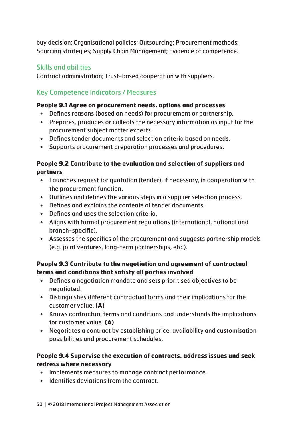buy decision; Organisational policies; Outsourcing; Procurement methods; Sourcing strategies; Supply Chain Management; Evidence of competence.

# Skills and abilities

Contract administration; Trust-based cooperation with suppliers.

# Key Competence Indicators / Measures

#### **People 9.1 Agree on procurement needs, options and processes**

- Defines reasons (based on needs) for procurement or partnership.
- Prepares, produces or collects the necessary information as input for the procurement subject matter experts.
- Defines tender documents and selection criteria based on needs.
- Supports procurement preparation processes and procedures.

## **People 9.2 Contribute to the evaluation and selection of suppliers and partners**

- Launches request for quotation (tender), if necessary, in cooperation with the procurement function.
- Outlines and defines the various steps in a supplier selection process.
- Defines and explains the contents of tender documents.
- Defines and uses the selection criteria.
- Aligns with formal procurement regulations (international, national and branch-specific).
- Assesses the specifics of the procurement and suggests partnership models (e.g. joint ventures, long-term partnerships, etc.).

# **People 9.3 Contribute to the negotiation and agreement of contractual terms and conditions that satisfy all parties involved**

- Defines a negotiation mandate and sets prioritised objectives to be negotiated.
- Distinguishes different contractual forms and their implications for the customer value. **(A)**
- Knows contractual terms and conditions and understands the implications for customer value. **(A)**
- Negotiates a contract by establishing price, availability and customisation possibilities and procurement schedules.

# **People 9.4 Supervise the execution of contracts, address issues and seek redress where necessary**

- Implements measures to manage contract performance.
- Identifies deviations from the contract.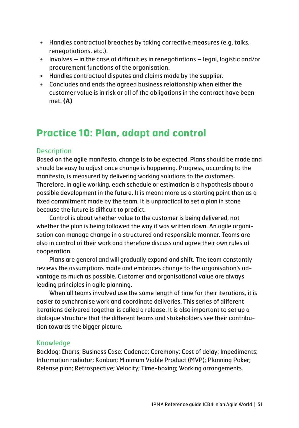- Handles contractual breaches by taking corrective measures (e.g. talks, renegotiations, etc.).
- Involves in the case of difficulties in renegotiations legal, logistic and/or procurement functions of the organisation.
- Handles contractual disputes and claims made by the supplier.
- Concludes and ends the agreed business relationship when either the customer value is in risk or all of the obligations in the contract have been met. **(A)**

# **Practice 10: Plan, adapt and control**

# **Description**

Based on the agile manifesto, change is to be expected. Plans should be made and should be easy to adjust once change is happening. Progress, according to the manifesto, is measured by delivering working solutions to the customers. Therefore, in agile working, each schedule or estimation is a hypothesis about a possible development in the future. It is meant more as a starting point than as a fixed commitment made by the team. It is unpractical to set a plan in stone because the future is difficult to predict.

Control is about whether value to the customer is being delivered, not whether the plan is being followed the way it was written down. An agile organisation can manage change in a structured and responsible manner. Teams are also in control of their work and therefore discuss and agree their own rules of cooperation.

Plans are general and will gradually expand and shift. The team constantly reviews the assumptions made and embraces change to the organisation's advantage as much as possible. Customer and organisational value are always leading principles in agile planning.

When all teams involved use the same length of time for their iterations, it is easier to synchronise work and coordinate deliveries. This series of different iterations delivered together is called a release. It is also important to set up a dialogue structure that the different teams and stakeholders see their contribution towards the bigger picture.

# Knowledge

Backlog; Charts; Business Case; Cadence; Ceremony; Cost of delay; Impediments; Information radiator; Kanban; Minimum Viable Product (MVP); Planning Poker; Release plan; Retrospective; Velocity; Time-boxing; Working arrangements.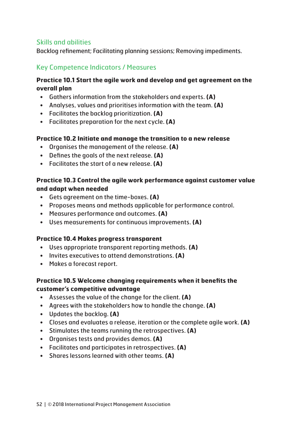# Skills and abilities

Backlog refinement; Facilitating planning sessions; Removing impediments.

# Key Competence Indicators / Measures

#### **Practice 10.1 Start the agile work and develop and get agreement on the overall plan**

- Gathers information from the stakeholders and experts. **(A)**
- Analyses, values and prioritises information with the team. **(A)**
- Facilitates the backlog prioritization. **(A)**
- Facilitates preparation for the next cycle. **(A)**

#### **Practice 10.2 Initiate and manage the transition to a new release**

- Organises the management of the release. **(A)**
- Defines the goals of the next release. **(A)**
- Facilitates the start of a new release. **(A)**

#### **Practice 10.3 Control the agile work performance against customer value and adapt when needed**

- Gets agreement on the time-boxes. **(A)**
- Proposes means and methods applicable for performance control.
- Measures performance and outcomes. **(A)**
- Uses measurements for continuous improvements. **(A)**

#### **Practice 10.4 Makes progress transparent**

- Uses appropriate transparent reporting methods. **(A)**
- Invites executives to attend demonstrations. **(A)**
- Makes a forecast report.

#### **Practice 10.5 Welcome changing requirements when it benefits the customer's competitive advantage**

- Assesses the value of the change for the client. **(A)**
- Agrees with the stakeholders how to handle the change. **(A)**
- Updates the backlog. **(A)**
- Closes and evaluates a release, iteration or the complete agile work. **(A)**
- Stimulates the teams running the retrospectives. **(A)**
- Organises tests and provides demos. **(A)**
- Facilitates and participates in retrospectives. **(A)**
- Shares lessons learned with other teams. **(A)**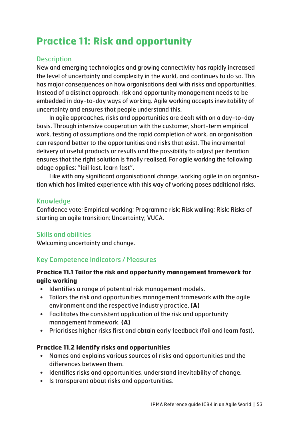# **Practice 11: Risk and opportunity**

# **Description**

New and emerging technologies and growing connectivity has rapidly increased the level of uncertainty and complexity in the world, and continues to do so. This has major consequences on how organisations deal with risks and opportunities. Instead of a distinct approach, risk and opportunity management needs to be embedded in day-to-day ways of working. Agile working accepts inevitability of uncertainty and ensures that people understand this.

In agile approaches, risks and opportunities are dealt with on a day-to-day basis. Through intensive cooperation with the customer, short-term empirical work, testing of assumptions and the rapid completion of work, an organisation can respond better to the opportunities and risks that exist. The incremental delivery of useful products or results and the possibility to adjust per iteration ensures that the right solution is finally realised. For agile working the following adage applies: "fail fast, learn fast".

Like with any significant organisational change, working agile in an organisation which has limited experience with this way of working poses additional risks.

#### Knowledge

Confidence vote; Empirical working; Programme risk; Risk walling; Risk; Risks of starting an agile transition; Uncertainty; VUCA.

#### Skills and abilities

Welcoming uncertainty and change.

# Key Competence Indicators / Measures

#### **Practice 11.1 Tailor the risk and opportunity management framework for agile working**

- Identifies a range of potential risk management models.
- Tailors the risk and opportunities management framework with the agile environment and the respective industry practice. **(A)**
- Facilitates the consistent application of the risk and opportunity management framework. **(A)**
- Prioritises higher risks first and obtain early feedback (fail and learn fast).

#### **Practice 11.2 Identify risks and opportunities**

- Names and explains various sources of risks and opportunities and the differences between them.
- Identifies risks and opportunities, understand inevitability of change.
- Is transparent about risks and opportunities.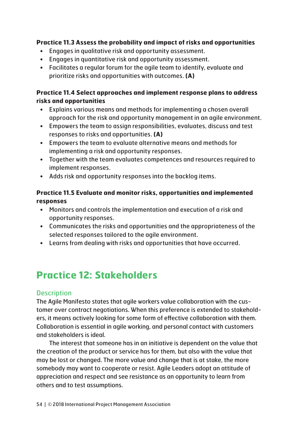#### **Practice 11.3 Assess the probability and impact of risks and opportunities**

- Engages in qualitative risk and opportunity assessment.
- Engages in quantitative risk and opportunity assessment.
- Facilitates a regular forum for the agile team to identify, evaluate and prioritize risks and opportunities with outcomes. **(A)**

## **Practice 11.4 Select approaches and implement response plans to address risks and opportunities**

- Explains various means and methods for implementing a chosen overall approach for the risk and opportunity management in an agile environment.
- Empowers the team to assign responsibilities, evaluates, discuss and test responses to risks and opportunities. **(A)**
- Empowers the team to evaluate alternative means and methods for implementing a risk and opportunity responses.
- Together with the team evaluates competences and resources required to implement responses.
- Adds risk and opportunity responses into the backlog items.

# **Practice 11.5 Evaluate and monitor risks, opportunities and implemented responses**

- Monitors and controls the implementation and execution of a risk and opportunity responses.
- Communicates the risks and opportunities and the appropriateness of the selected responses tailored to the agile environment.
- Learns from dealing with risks and opportunities that have occurred.

# **Practice 12: Stakeholders**

# **Description**

The Agile Manifesto states that agile workers value collaboration with the customer over contract negotiations. When this preference is extended to stakeholders, it means actively looking for some form of effective collaboration with them. Collaboration is essential in agile working, and personal contact with customers and stakeholders is ideal.

The interest that someone has in an initiative is dependent on the value that the creation of the product or service has for them, but also with the value that may be lost or changed. The more value and change that is at stake, the more somebody may want to cooperate or resist. Agile Leaders adopt an attitude of appreciation and respect and see resistance as an opportunity to learn from others and to test assumptions.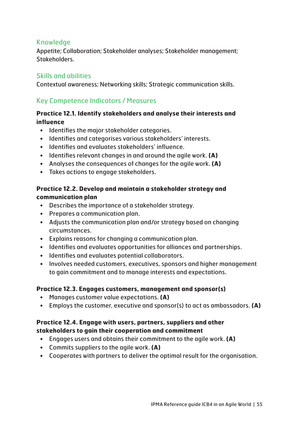## Knowledge

Appetite; Collaboration; Stakeholder analyses; Stakeholder management; Stakeholders.

# Skills and abilities

Contextual awareness; Networking skills; Strategic communication skills.

# Key Competence Indicators / Measures

### **Practice 12.1. Identify stakeholders and analyse their interests and influence**

- Identifies the major stakeholder categories.
- Identifies and categorises various stakeholders' interests.
- Identifies and evaluates stakeholders' influence.
- Identifies relevant changes in and around the agile work. **(A)**
- Analyses the consequences of changes for the agile work. **(A)**
- Takes actions to engage stakeholders.

## **Practice 12.2. Develop and maintain a stakeholder strategy and communication plan**

- Describes the importance of a stakeholder strategy.
- Prepares a communication plan.
- Adjusts the communication plan and/or strategy based on changing circumstances.
- Explains reasons for changing a communication plan.
- Identifies and evaluates opportunities for alliances and partnerships.
- Identifies and evaluates potential collaborators.
- Involves needed customers, executives, sponsors and higher management to gain commitment and to manage interests and expectations.

#### **Practice 12.3. Engages customers, management and sponsor(s)**

- Manages customer value expectations. **(A)**
- Employs the customer, executive and sponsor(s) to act as ambassadors. **(A)**

#### **Practice 12.4. Engage with users, partners, suppliers and other stakeholders to gain their cooperation and commitment**

- Engages users and obtains their commitment to the agile work. **(A)**
- Commits suppliers to the agile work. **(A)**
- Cooperates with partners to deliver the optimal result for the organisation.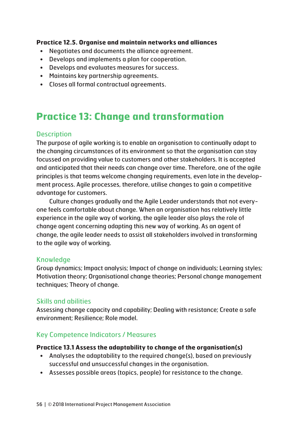#### **Practice 12.5. Organise and maintain networks and alliances**

- Negotiates and documents the alliance agreement.
- Develops and implements a plan for cooperation.
- Develops and evaluates measures for success.
- Maintains key partnership agreements.
- Closes all formal contractual agreements.

# **Practice 13: Change and transformation**

# **Description**

The purpose of agile working is to enable an organisation to continually adapt to the changing circumstances of its environment so that the organisation can stay focussed on providing value to customers and other stakeholders. It is accepted and anticipated that their needs can change over time. Therefore, one of the agile principles is that teams welcome changing requirements, even late in the development process. Agile processes, therefore, utilise changes to gain a competitive advantage for customers.

Culture changes gradually and the Agile Leader understands that not everyone feels comfortable about change. When an organisation has relatively little experience in the agile way of working, the agile leader also plays the role of change agent concerning adapting this new way of working. As an agent of change, the agile leader needs to assist all stakeholders involved in transforming to the agile way of working.

#### Knowledge

Group dynamics; Impact analysis; Impact of change on individuals; Learning styles; Motivation theory; Organisational change theories; Personal change management techniques; Theory of change.

#### Skills and abilities

Assessing change capacity and capability; Dealing with resistance; Create a safe environment; Resilience; Role model.

# Key Competence Indicators / Measures

#### **Practice 13.1 Assess the adaptability to change of the organisation(s)**

- Analyses the adaptability to the required change(s), based on previously successful and unsuccessful changes in the organisation.
- Assesses possible areas (topics, people) for resistance to the change.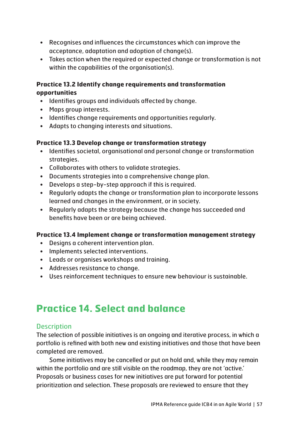- Recognises and influences the circumstances which can improve the acceptance, adaptation and adoption of change(s).
- Takes action when the required or expected change or transformation is not within the capabilities of the organisation(s).

#### **Practice 13.2 Identify change requirements and transformation opportunities**

- Identifies groups and individuals affected by change.
- Maps group interests.
- Identifies change requirements and opportunities regularly.
- Adapts to changing interests and situations.

# **Practice 13.3 Develop change or transformation strategy**

- Identifies societal, organisational and personal change or transformation strategies.
- Collaborates with others to validate strategies.
- Documents strategies into a comprehensive change plan.
- Develops a step-by-step approach if this is required.
- Regularly adapts the change or transformation plan to incorporate lessons learned and changes in the environment, or in society.
- Regularly adapts the strategy because the change has succeeded and benefits have been or are being achieved.

#### **Practice 13.4 Implement change or transformation management strategy**

- Designs a coherent intervention plan.
- Implements selected interventions.
- Leads or organises workshops and training.
- Addresses resistance to change.
- Uses reinforcement techniques to ensure new behaviour is sustainable.

# **Practice 14. Select and balance**

# **Description**

The selection of possible initiatives is an ongoing and iterative process, in which a portfolio is refined with both new and existing initiatives and those that have been completed are removed.

Some initiatives may be cancelled or put on hold and, while they may remain within the portfolio and are still visible on the roadmap, they are not 'active.' Proposals or business cases for new initiatives are put forward for potential prioritization and selection. These proposals are reviewed to ensure that they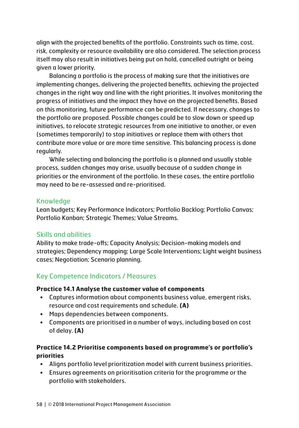align with the projected benefits of the portfolio. Constraints such as time, cost, risk, complexity or resource availability are also considered. The selection process itself may also result in initiatives being put on hold, cancelled outright or being given a lower priority.

Balancing a portfolio is the process of making sure that the initiatives are implementing changes, delivering the projected benefits, achieving the projected changes in the right way and line with the right priorities. It involves monitoring the progress of initiatives and the impact they have on the projected benefits. Based on this monitoring, future performance can be predicted. If necessary, changes to the portfolio are proposed. Possible changes could be to slow down or speed up initiatives, to relocate strategic resources from one initiative to another, or even (sometimes temporarily) to stop initiatives or replace them with others that contribute more value or are more time sensitive. This balancing process is done regularly.

While selecting and balancing the portfolio is a planned and usually stable process, sudden changes may arise, usually because of a sudden change in priorities or the environment of the portfolio. In these cases, the entire portfolio may need to be re-assessed and re-prioritised.

#### Knowledge

Lean budgets; Key Performance Indicators; Portfolio Backlog; Portfolio Canvas; Portfolio Kanban; Strategic Themes; Value Streams.

#### Skills and abilities

Ability to make trade-offs; Capacity Analysis; Decision-making models and strategies; Dependency mapping; Large Scale Interventions; Light weight business cases; Negotiation; Scenario planning.

# Key Competence Indicators / Measures

#### **Practice 14.1 Analyse the customer value of components**

- Captures information about components business value, emergent risks, resource and cost requirements and schedule. **(A)**
- Maps dependencies between components.
- Components are prioritised in a number of ways, including based on cost of delay. **(A)**

# **Practice 14.2 Prioritise components based on programme's or portfolio's priorities**

- Aligns portfolio level prioritization model with current business priorities.
- Ensures agreements on prioritisation criteria for the programme or the portfolio with stakeholders.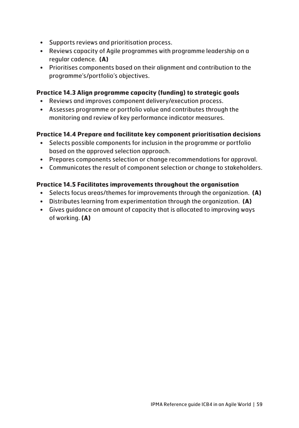- Supports reviews and prioritisation process.
- Reviews capacity of Agile programmes with programme leadership on a regular cadence. **(A)**
- Prioritises components based on their alignment and contribution to the programme's/portfolio's objectives.

#### **Practice 14.3 Align programme capacity (funding) to strategic goals**

- Reviews and improves component delivery/execution process.
- Assesses programme or portfolio value and contributes through the monitoring and review of key performance indicator measures.

#### **Practice 14.4 Prepare and facilitate key component prioritisation decisions**

- Selects possible components for inclusion in the programme or portfolio based on the approved selection approach.
- Prepares components selection or change recommendations for approval.
- Communicates the result of component selection or change to stakeholders.

#### **Practice 14.5 Facilitates improvements throughout the organisation**

- Selects focus areas/themes for improvements through the organization. **(A)**
- Distributes learning from experimentation through the organization. **(A)**
- Gives guidance on amount of capacity that is allocated to improving ways of working. **(A)**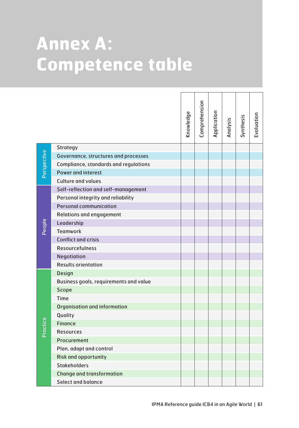# **Annex A: Competence table**

|             |                                                  | Knowledge | Comprehension | Application | Analysis | Synthesis | Evaluation |
|-------------|--------------------------------------------------|-----------|---------------|-------------|----------|-----------|------------|
|             | Strategy                                         |           |               |             |          |           |            |
| Perspective | Governance, structures and processes             |           |               |             |          |           |            |
|             | Compliance, standards and regulations            |           |               |             |          |           |            |
|             | <b>Power and interest</b>                        |           |               |             |          |           |            |
|             | <b>Culture and values</b>                        |           |               |             |          |           |            |
|             | Self-reflection and self-management              |           |               |             |          |           |            |
|             | Personal integrity and reliability               |           |               |             |          |           |            |
|             | <b>Personal communication</b>                    |           |               |             |          |           |            |
|             | <b>Relations and engagement</b>                  |           |               |             |          |           |            |
| People      | Leadership                                       |           |               |             |          |           |            |
|             | <b>Teamwork</b>                                  |           |               |             |          |           |            |
|             | <b>Conflict and crisis</b>                       |           |               |             |          |           |            |
|             | <b>Resourcefulness</b>                           |           |               |             |          |           |            |
|             | Negotiation                                      |           |               |             |          |           |            |
|             | <b>Results orientation</b>                       |           |               |             |          |           |            |
|             | <b>Design</b>                                    |           |               |             |          |           |            |
|             | Business goals, requirements and value           |           |               |             |          |           |            |
|             | Scope                                            |           |               |             |          |           |            |
|             | Time                                             |           |               |             |          |           |            |
|             | Organisation and information                     |           |               |             |          |           |            |
|             | Quality                                          |           |               |             |          |           |            |
| Practice    | <b>Finance</b>                                   |           |               |             |          |           |            |
|             | <b>Resources</b>                                 |           |               |             |          |           |            |
|             | Procurement                                      |           |               |             |          |           |            |
|             | Plan, adapt and control                          |           |               |             |          |           |            |
|             | <b>Risk and opportunity</b>                      |           |               |             |          |           |            |
|             | <b>Stakeholders</b>                              |           |               |             |          |           |            |
|             | <b>Change and transformation</b>                 |           |               |             |          |           |            |
|             | Select and balance                               |           |               |             |          |           |            |
|             | IPMA Reference quide ICB4 in an Agile World   61 |           |               |             |          |           |            |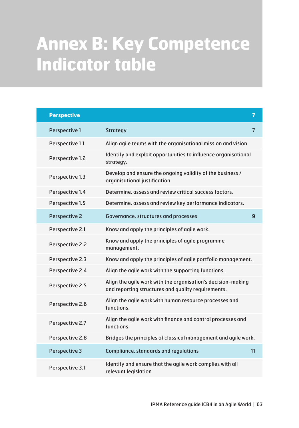# **Annex B: Key Competence Indicator table**

| <b>Perspective</b>   |                                                                                                                    | $\overline{7}$ |
|----------------------|--------------------------------------------------------------------------------------------------------------------|----------------|
| Perspective 1        | Strategy                                                                                                           | $\overline{7}$ |
| Perspective 1.1      | Align agile teams with the organisational mission and vision.                                                      |                |
| Perspective 1.2      | Identify and exploit opportunities to influence organisational<br>strategy.                                        |                |
| Perspective 1.3      | Develop and ensure the ongoing validity of the business /<br>organisational justification.                         |                |
| Perspective 1.4      | Determine, assess and review critical success factors.                                                             |                |
| Perspective 1.5      | Determine, assess and review key performance indicators.                                                           |                |
| <b>Perspective 2</b> | Governance, structures and processes                                                                               | 9              |
| Perspective 2.1      | Know and apply the principles of agile work.                                                                       |                |
| Perspective 2.2      | Know and apply the principles of agile programme<br>management.                                                    |                |
| Perspective 2.3      | Know and apply the principles of agile portfolio management.                                                       |                |
| Perspective 2.4      | Align the agile work with the supporting functions.                                                                |                |
| Perspective 2.5      | Align the agile work with the organisation's decision-making<br>and reporting structures and quality requirements. |                |
| Perspective 2.6      | Align the agile work with human resource processes and<br>functions.                                               |                |
| Perspective 2.7      | Align the agile work with finance and control processes and<br>functions.                                          |                |
| Perspective 2.8      | Bridges the principles of classical management and agile work.                                                     |                |
| Perspective 3        | Compliance, standards and regulations                                                                              | 11             |
| Perspective 3.1      | Identify and ensure that the agile work complies with all<br>relevant legislation                                  |                |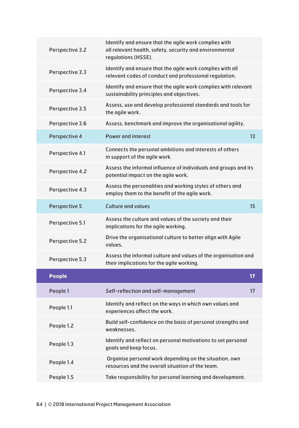| Perspective 3.2      | Identify and ensure that the agile work complies with<br>all relevant health, safety, security and environmental<br>regulations (HSSE). |    |
|----------------------|-----------------------------------------------------------------------------------------------------------------------------------------|----|
| Perspective 3.3      | Identify and ensure that the agile work complies with all<br>relevant codes of conduct and professional regulation.                     |    |
| Perspective 3.4      | Identify and ensure that the agile work complies with relevant<br>sustainability principles and objectives.                             |    |
| Perspective 3.5      | Assess, use and develop professional standards and tools for<br>the agile work.                                                         |    |
| Perspective 3.6      | Assess, benchmark and improve the organisational agility.                                                                               |    |
| Perspective 4        | <b>Power and interest</b>                                                                                                               | 13 |
| Perspective 4.1      | Connects the personal ambitions and interests of others<br>in support of the agile work.                                                |    |
| Perspective 4.2      | Assess the informal influence of individuals and groups and its<br>potential impact on the agile work.                                  |    |
| Perspective 4.3      | Assess the personalities and working styles of others and<br>employ them to the benefit of the agile work.                              |    |
| <b>Perspective 5</b> | <b>Culture and values</b>                                                                                                               | 15 |
| Perspective 5.1      | Assess the culture and values of the society and their<br>implications for the agile working.                                           |    |
| Perspective 5.2      | Drive the organisational culture to better align with Agile<br>values.                                                                  |    |
| Perspective 5.3      | Assess the informal culture and values of the organisation and<br>their implications for the agile working.                             |    |
| <b>People</b>        |                                                                                                                                         | 17 |
| People 1             | Self-reflection and self-management                                                                                                     | 17 |
| People 1.1           | Identify and reflect on the ways in which own values and<br>experiences affect the work.                                                |    |
| People 1.2           | Build self-confidence on the basis of personal strengths and<br>weaknesses.                                                             |    |
| People 1.3           | Identify and reflect on personal motivations to set personal<br>goals and keep focus.                                                   |    |
| People 1.4           | Organise personal work depending on the situation, own<br>resources and the overall situation of the team.                              |    |
| People 1.5           | Take responsibility for personal learning and development.                                                                              |    |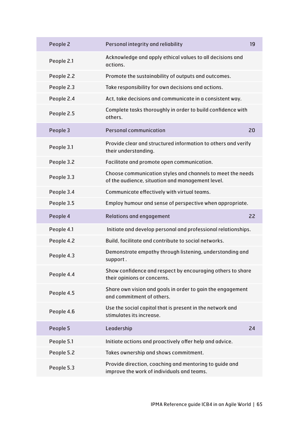| People 2   | Personal integrity and reliability                                                                             | 19 |
|------------|----------------------------------------------------------------------------------------------------------------|----|
| People 2.1 | Acknowledge and apply ethical values to all decisions and<br>actions.                                          |    |
| People 2.2 | Promote the sustainability of outputs and outcomes.                                                            |    |
| People 2.3 | Take responsibility for own decisions and actions.                                                             |    |
| People 2.4 | Act, take decisions and communicate in a consistent way.                                                       |    |
| People 2.5 | Complete tasks thoroughly in order to build confidence with<br>others.                                         |    |
| People 3   | <b>Personal communication</b>                                                                                  | 20 |
| People 3.1 | Provide clear and structured information to others and verify<br>their understanding.                          |    |
| People 3.2 | Facilitate and promote open communication.                                                                     |    |
| People 3.3 | Choose communication styles and channels to meet the needs<br>of the audience, situation and management level. |    |
| People 3.4 | Communicate effectively with virtual teams.                                                                    |    |
| People 3.5 | Employ humour and sense of perspective when appropriate.                                                       |    |
|            |                                                                                                                |    |
| People 4   | <b>Relations and engagement</b>                                                                                | 22 |
| People 4.1 | Initiate and develop personal and professional relationships.                                                  |    |
| People 4.2 | Build, facilitate and contribute to social networks.                                                           |    |
| People 4.3 | Demonstrate empathy through listening, understanding and<br>support.                                           |    |
| People 4.4 | Show confidence and respect by encouraging others to share<br>their opinions or concerns.                      |    |
| People 4.5 | Share own vision and goals in order to gain the engagement<br>and commitment of others.                        |    |
| People 4.6 | Use the social capital that is present in the network and<br>stimulates its increase.                          |    |
| People 5   | Leadership                                                                                                     | 24 |
| People 5.1 | Initiate actions and proactively offer help and advice.                                                        |    |
| People 5.2 | Takes ownership and shows commitment.                                                                          |    |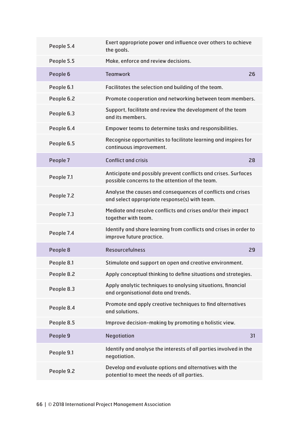| People 5.4 | Exert appropriate power and influence over others to achieve<br>the goals.                                        |    |
|------------|-------------------------------------------------------------------------------------------------------------------|----|
| People 5.5 | Make, enforce and review decisions.                                                                               |    |
| People 6   | <b>Teamwork</b>                                                                                                   | 26 |
| People 6.1 | Facilitates the selection and building of the team.                                                               |    |
| People 6.2 | Promote cooperation and networking between team members.                                                          |    |
| People 6.3 | Support, facilitate and review the development of the team<br>and its members.                                    |    |
| People 6.4 | Empower teams to determine tasks and responsibilities.                                                            |    |
| People 6.5 | Recognise opportunities to facilitate learning and inspires for<br>continuous improvement.                        |    |
| People 7   | <b>Conflict and crisis</b>                                                                                        | 28 |
| People 7.1 | Anticipate and possibly prevent conflicts and crises. Surfaces<br>possible concerns to the attention of the team. |    |
| People 7.2 | Analyse the causes and consequences of conflicts and crises<br>and select appropriate response(s) with team.      |    |
| People 7.3 | Mediate and resolve conflicts and crises and/or their impact<br>together with team.                               |    |
| People 7.4 | Identify and share learning from conflicts and crises in order to<br>improve future practice.                     |    |
| People 8   | <b>Resourcefulness</b>                                                                                            | 29 |
| People 8.1 | Stimulate and support an open and creative environment.                                                           |    |
| People 8.2 | Apply conceptual thinking to define situations and strategies.                                                    |    |
| People 8.3 | Apply analytic techniques to analysing situations, financial<br>and organisational data and trends.               |    |
| People 8.4 | Promote and apply creative techniques to find alternatives<br>and solutions.                                      |    |
| People 8.5 | Improve decision-making by promoting a holistic view.                                                             |    |
| People 9   | Negotiation                                                                                                       | 31 |
| People 9.1 | Identify and analyse the interests of all parties involved in the<br>negotiation.                                 |    |
| People 9.2 | Develop and evaluate options and alternatives with the<br>potential to meet the needs of all parties.             |    |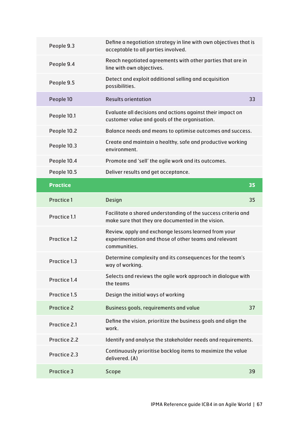| People 9.3      | Define a negotiation strategy in line with own objectives that is<br>acceptable to all parties involved.                      |    |
|-----------------|-------------------------------------------------------------------------------------------------------------------------------|----|
| People 9.4      | Reach negotiated agreements with other parties that are in<br>line with own objectives.                                       |    |
| People 9.5      | Detect and exploit additional selling and acquisition<br>possibilities.                                                       |    |
| People 10       | <b>Results orientation</b>                                                                                                    | 33 |
| People 10.1     | Evaluate all decisions and actions against their impact on<br>customer value and goals of the organisation.                   |    |
| People 10.2     | Balance needs and means to optimise outcomes and success.                                                                     |    |
| People 10.3     | Create and maintain a healthy, safe and productive working<br>environment.                                                    |    |
| People 10.4     | Promote and 'sell' the agile work and its outcomes.                                                                           |    |
| People 10.5     | Deliver results and get acceptance.                                                                                           |    |
| <b>Practice</b> |                                                                                                                               | 35 |
| Practice 1      | <b>Design</b>                                                                                                                 | 35 |
|                 |                                                                                                                               |    |
| Practice 1.1    | Facilitate a shared understanding of the success criteria and<br>make sure that they are documented in the vision.            |    |
| Practice 1.2    | Review, apply and exchange lessons learned from your<br>experimentation and those of other teams and relevant<br>communities. |    |
| Practice 1.3    | Determine complexity and its consequences for the team's<br>way of working.                                                   |    |
| Practice 1.4    | Selects and reviews the agile work approach in dialogue with<br>the teams                                                     |    |
| Practice 1.5    | Design the initial ways of working                                                                                            |    |
| Practice 2      | Business goals, requirements and value                                                                                        | 37 |
| Practice 2.1    | Define the vision, prioritize the business goals and align the<br>work.                                                       |    |
| Practice 2.2    | Identify and analyse the stakeholder needs and requirements.                                                                  |    |
| Practice 2.3    | Continuously prioritise backlog items to maximize the value<br>delivered. (A)                                                 |    |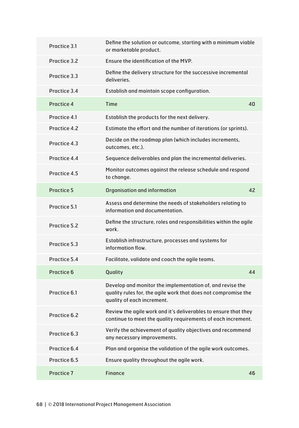| Practice 3.1      | Define the solution or outcome, starting with a minimum viable<br>or marketable product.                                                                  |    |
|-------------------|-----------------------------------------------------------------------------------------------------------------------------------------------------------|----|
| Practice 3.2      | Ensure the identification of the MVP.                                                                                                                     |    |
| Practice 3.3      | Define the delivery structure for the successive incremental<br>deliveries.                                                                               |    |
| Practice 3.4      | Establish and maintain scope configuration.                                                                                                               |    |
| Practice 4        | <b>Time</b>                                                                                                                                               | 40 |
| Practice 4.1      | Establish the products for the next delivery.                                                                                                             |    |
| Practice 4.2      | Estimate the effort and the number of iterations (or sprints).                                                                                            |    |
| Practice 4.3      | Decide on the roadmap plan (which includes increments,<br>outcomes, etc.).                                                                                |    |
| Practice 4.4      | Sequence deliverables and plan the incremental deliveries.                                                                                                |    |
| Practice 4.5      | Monitor outcomes against the release schedule and respond<br>to change.                                                                                   |    |
| <b>Practice 5</b> | <b>Organisation and information</b>                                                                                                                       | 42 |
| Practice 5.1      | Assess and determine the needs of stakeholders relating to<br>information and documentation.                                                              |    |
| Practice 5.2      | Define the structure, roles and responsibilities within the agile<br>work.                                                                                |    |
| Practice 5.3      | Establish infrastructure, processes and systems for<br>information flow.                                                                                  |    |
| Practice 5.4      | Facilitate, validate and coach the agile teams.                                                                                                           |    |
| Practice 6        | Quality                                                                                                                                                   | 44 |
| Practice 6.1      | Develop and monitor the implementation of, and revise the<br>quality rules for, the agile work that does not compromise the<br>quality of each increment. |    |
| Practice 6.2      | Review the agile work and it's deliverables to ensure that they<br>continue to meet the quality requirements of each increment.                           |    |
| Practice 6.3      | Verify the achievement of quality objectives and recommend<br>any necessary improvements.                                                                 |    |
| Practice 6.4      | Plan and organise the validation of the agile work outcomes.                                                                                              |    |
| Practice 6.5      | Ensure quality throughout the agile work.                                                                                                                 |    |
| Practice 7        | Finance                                                                                                                                                   | 46 |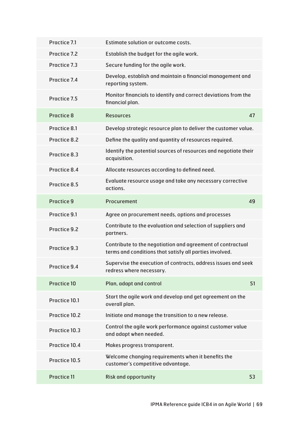| Practice 7.1  | Estimate solution or outcome costs.                                                                                   |    |
|---------------|-----------------------------------------------------------------------------------------------------------------------|----|
| Practice 7.2  | Establish the budget for the agile work.                                                                              |    |
| Practice 7.3  | Secure funding for the agile work.                                                                                    |    |
| Practice 7.4  | Develop, establish and maintain a financial management and<br>reporting system.                                       |    |
| Practice 7.5  | Monitor financials to identify and correct deviations from the<br>financial plan.                                     |    |
| Practice 8    | <b>Resources</b>                                                                                                      | 47 |
| Practice 8.1  | Develop strategic resource plan to deliver the customer value.                                                        |    |
| Practice 8.2  | Define the quality and quantity of resources required.                                                                |    |
| Practice 8.3  | Identify the potential sources of resources and negotiate their<br>acquisition.                                       |    |
| Practice 8.4  | Allocate resources according to defined need.                                                                         |    |
| Practice 8.5  | Evaluate resource usage and take any necessary corrective<br>actions.                                                 |    |
| Practice 9    | Procurement                                                                                                           | 49 |
| Practice 9.1  | Agree on procurement needs, options and processes                                                                     |    |
| Practice 9.2  | Contribute to the evaluation and selection of suppliers and<br>partners.                                              |    |
| Practice 9.3  | Contribute to the negotiation and agreement of contractual<br>terms and conditions that satisfy all parties involved. |    |
| Practice 9.4  | Supervise the execution of contracts, address issues and seek<br>redress where necessary.                             |    |
| Practice 10   | Plan, adapt and control                                                                                               | 51 |
| Practice 10.1 | Start the agile work and develop and get agreement on the<br>overall plan.                                            |    |
| Practice 10.2 | Initiate and manage the transition to a new release.                                                                  |    |
| Practice 10.3 | Control the agile work performance against customer value<br>and adapt when needed.                                   |    |
| Practice 10.4 | Makes progress transparent.                                                                                           |    |
| Practice 10.5 | Welcome changing requirements when it benefits the<br>customer's competitive advantage.                               |    |
|               |                                                                                                                       |    |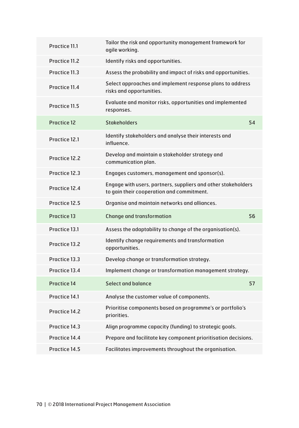| Practice 11.1 | Tailor the risk and opportunity management framework for<br>agile working.                                 |    |
|---------------|------------------------------------------------------------------------------------------------------------|----|
| Practice 11.2 | Identify risks and opportunities.                                                                          |    |
| Practice 11.3 | Assess the probability and impact of risks and opportunities.                                              |    |
| Practice 11.4 | Select approaches and implement response plans to address<br>risks and opportunities.                      |    |
| Practice 11.5 | Evaluate and monitor risks, opportunities and implemented<br>responses.                                    |    |
| Practice 12   | <b>Stakeholders</b>                                                                                        | 54 |
| Practice 12.1 | Identify stakeholders and analyse their interests and<br>influence.                                        |    |
| Practice 12.2 | Develop and maintain a stakeholder strategy and<br>communication plan.                                     |    |
| Practice 12.3 | Engages customers, management and sponsor(s).                                                              |    |
| Practice 12.4 | Engage with users, partners, suppliers and other stakeholders<br>to gain their cooperation and commitment. |    |
|               |                                                                                                            |    |
| Practice 12.5 | Organise and maintain networks and alliances.                                                              |    |
| Practice 13   | <b>Change and transformation</b>                                                                           | 56 |
| Practice 13.1 | Assess the adaptability to change of the organisation(s).                                                  |    |
| Practice 13.2 | Identify change requirements and transformation<br>opportunities.                                          |    |
| Practice 13.3 | Develop change or transformation strategy.                                                                 |    |
| Practice 13.4 | Implement change or transformation management strategy.                                                    |    |
| Practice 14   | Select and balance                                                                                         | 57 |
| Practice 14.1 | Analyse the customer value of components.                                                                  |    |
| Practice 14.2 | Prioritise components based on programme's or portfolio's<br>priorities.                                   |    |
| Practice 14.3 | Align programme capacity (funding) to strategic goals.                                                     |    |
| Practice 14.4 | Prepare and facilitate key component prioritisation decisions.                                             |    |